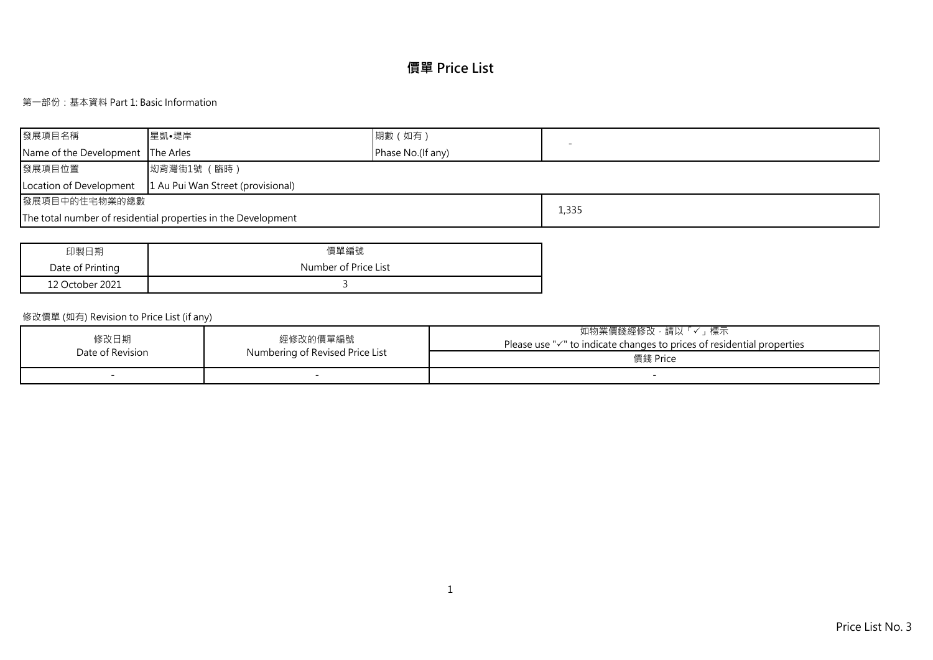# **價單 Price List**

# 第一部份:基本資料 Part 1: Basic Information

| 發展項目名稱                                                       | 星凱•堤岸                                                         | 期數 (如有)           |       |  |  |  |  |  |  |
|--------------------------------------------------------------|---------------------------------------------------------------|-------------------|-------|--|--|--|--|--|--|
| Name of the Development The Arles                            |                                                               | Phase No.(If any) |       |  |  |  |  |  |  |
| 發展項目位置                                                       | 坳背灣街1號 (臨時)                                                   |                   |       |  |  |  |  |  |  |
| 1 Au Pui Wan Street (provisional)<br>Location of Development |                                                               |                   |       |  |  |  |  |  |  |
| 發展項目中的住宅物業的總數                                                |                                                               |                   |       |  |  |  |  |  |  |
|                                                              | The total number of residential properties in the Development |                   | 1,335 |  |  |  |  |  |  |

| 印製日期             | 價單編號                 |
|------------------|----------------------|
| Date of Printing | Number of Price List |
| 12 October 2021  |                      |

# 修改價單 (如有) Revision to Price List (if any)

| 修改日期             | 經修改的價單編號                        | 「✓」標示<br>如物業價錢經修改,請以<br>Please use $\sqrt{ }$ to indicate changes to prices of residential properties |
|------------------|---------------------------------|-------------------------------------------------------------------------------------------------------|
| Date of Revision | Numbering of Revised Price List | 價錢 Price                                                                                              |
|                  |                                 |                                                                                                       |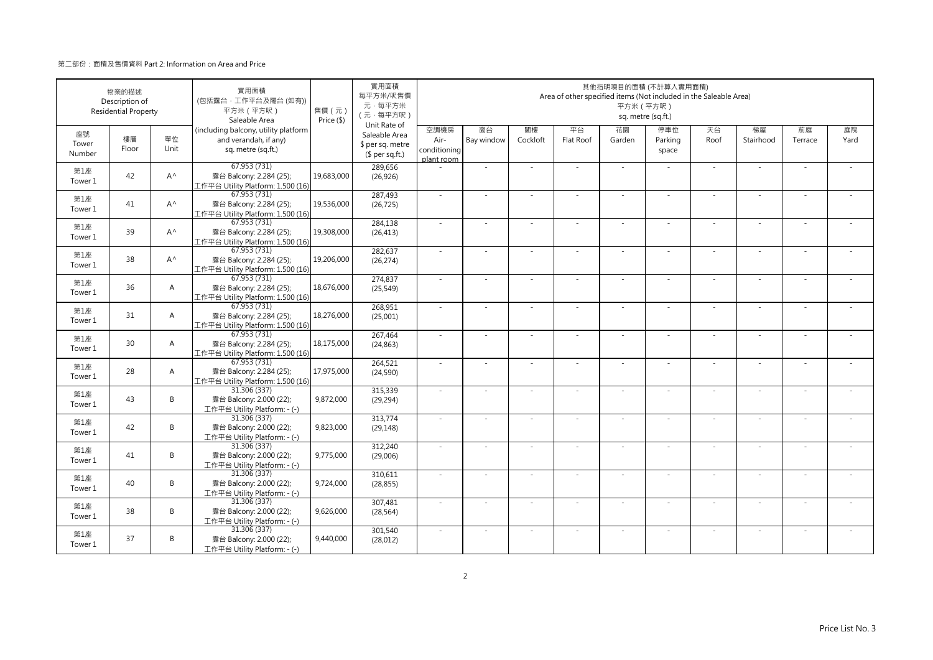|                       | 物業的描述<br>Description of<br><b>Residential Property</b> |                | 實用面積<br>(包括露台·工作平台及陽台(如有))<br>平方米 (平方呎)<br>Saleable Area                            | 售價(元)<br>Price (\$) | 實用面積<br>每平方米/呎售價<br>元·每平方米<br>(元·每平方呎)                               |                                            |                  |                | Area of other specified items (Not included in the Saleable Area) | 其他指明項目的面積 (不計算入實用面積)<br>平方米 (平方呎) | sq. metre (sq.ft.)      |            |                          |               |            |
|-----------------------|--------------------------------------------------------|----------------|-------------------------------------------------------------------------------------|---------------------|----------------------------------------------------------------------|--------------------------------------------|------------------|----------------|-------------------------------------------------------------------|-----------------------------------|-------------------------|------------|--------------------------|---------------|------------|
| 座號<br>Tower<br>Number | 樓層<br>Floor                                            | 單位<br>Unit     | (including balcony, utility platform<br>and verandah, if any)<br>sq. metre (sq.ft.) |                     | Unit Rate of<br>Saleable Area<br>\$ per sq. metre<br>$$$ per sq.ft.) | 空調機房<br>Air-<br>conditioning<br>plant room | 窗台<br>Bay window | 閣樓<br>Cockloft | 平台<br>Flat Roof                                                   | 花園<br>Garden                      | 停車位<br>Parking<br>space | 天台<br>Roof | 梯屋<br>Stairhood          | 前庭<br>Terrace | 庭院<br>Yard |
| 第1座<br>Tower 1        | 42                                                     | $A^{\wedge}$   | 67.953 (731)<br>露台 Balcony: 2.284 (25);<br>工作平台 Utility Platform: 1.500 (16)        | 19,683,000          | 289,656<br>(26, 926)                                                 |                                            | ÷,               |                |                                                                   | $\sim$                            | $\sim$                  | $\sim$     | ٠                        |               |            |
| 第1座<br>Tower 1        | 41                                                     | $A^{\wedge}$   | 67.953 (731)<br>露台 Balcony: 2.284 (25);<br>工作平台 Utility Platform: 1.500 (16)        | 19,536,000          | 287,493<br>(26, 725)                                                 | $\sim$                                     | $\sim$           | $\sim$         | ÷.                                                                | $\sim$                            | $\sim$                  | $\sim$     | $\sim$                   | $\sim$        |            |
| 第1座<br>Tower 1        | 39                                                     | $A^{\wedge}$   | 67.953 (731)<br>露台 Balcony: 2.284 (25);<br>工作平台 Utility Platform: 1.500 (16)        | 19,308,000          | 284,138<br>(26, 413)                                                 | $\sim$                                     | ×.               |                | ÷.                                                                | $\sim$                            | $\sim$                  | ×.         | ٠                        |               |            |
| 第1座<br>Tower 1        | 38                                                     | $A^{\wedge}$   | 67.953(731)<br>露台 Balcony: 2.284 (25);<br>工作平台 Utility Platform: 1.500 (16)         | 19,206,000          | 282,637<br>(26, 274)                                                 | ×.                                         | ×.               |                |                                                                   | ä,                                |                         | ×.         | ٠                        |               |            |
| 第1座<br>Tower 1        | 36                                                     | $\overline{A}$ | 67.953 (731)<br>露台 Balcony: 2.284 (25);<br>工作平台 Utility Platform: 1.500 (16)        | 18,676,000          | 274,837<br>(25, 549)                                                 | $\sim$                                     | ×.               |                | $\sim$                                                            | $\sim$                            | $\sim$                  | $\sim$     | ٠                        | $\sim$        |            |
| 第1座<br>Tower 1        | 31                                                     | $\overline{A}$ | 67.953 (731)<br>露台 Balcony: 2.284 (25);<br>工作平台 Utility Platform: 1.500 (16)        | 18,276,000          | 268,951<br>(25,001)                                                  | $\sim$                                     | $\sim$           |                | ٠                                                                 | $\sim$                            |                         | $\sim$     | $\sim$                   |               |            |
| 第1座<br>Tower 1        | 30                                                     | $\overline{A}$ | 67.953 (731)<br>露台 Balcony: 2.284 (25);<br>工作平台 Utility Platform: 1.500 (16)        | 18,175,000          | 267,464<br>(24, 863)                                                 | $\sim$                                     | $\sim$           | $\sim$         | ÷.                                                                | $\sim$                            | $\sim$                  | $\sim$     | $\sim$                   | ÷             |            |
| 第1座<br>Tower 1        | 28                                                     | $\overline{A}$ | 67.953 (731)<br>露台 Balcony: 2.284 (25);<br>工作平台 Utility Platform: 1.500 (16)        | 17,975,000          | 264,521<br>(24, 590)                                                 | $\sim$                                     | ×.               |                | ÷.                                                                | ×.                                | $\sim$                  | ×.         | ä,                       |               |            |
| 第1座<br>Tower 1        | 43                                                     | B              | 31.306 (337)<br>露台 Balcony: 2.000 (22);<br>工作平台 Utility Platform: - (-)             | 9,872,000           | 315,339<br>(29, 294)                                                 | ÷,                                         | ×,               |                |                                                                   | ä,                                |                         | ×.         | ٠                        |               |            |
| 第1座<br>Tower 1        | 42                                                     | B              | 31.306 (337)<br>露台 Balcony: 2.000 (22);<br>工作平台 Utility Platform: - (-)             | 9,823,000           | 313,774<br>(29, 148)                                                 | $\mathbf{r}$                               | ×.               |                |                                                                   | ٠                                 |                         | ×.         | ٠                        |               |            |
| 第1座<br>Tower 1        | 41                                                     | B              | 31.306 (337)<br>露台 Balcony: 2.000 (22);<br>工作平台 Utility Platform: - (-)             | 9,775,000           | 312,240<br>(29,006)                                                  | $\sim$                                     | $\sim$           |                | ٠                                                                 | $\overline{\phantom{a}}$          |                         | $\sim$     | $\sim$                   |               |            |
| 第1座<br>Tower 1        | 40                                                     | B              | 31.306 (337)<br>露台 Balcony: 2.000 (22);<br>工作平台 Utility Platform: - (-)             | 9,724,000           | 310,611<br>(28, 855)                                                 | $\sim$                                     | ×.               | $\sim$         | ÷.                                                                | ×.                                | $\sim$                  | ×.         | ٠                        | $\sim$        |            |
| 第1座<br>Tower 1        | 38                                                     | B              | 31.306 (337)<br>露台 Balcony: 2.000 (22);<br>工作平台 Utility Platform: - (-)             | 9,626,000           | 307,481<br>(28, 564)                                                 | $\sim$                                     | i.               |                | ÷.                                                                | $\sim$                            |                         | $\sim$     | ÷.                       |               |            |
| 第1座<br>Tower 1        | 37                                                     | B              | 31.306 (337)<br>露台 Balcony: 2.000 (22);<br>工作平台 Utility Platform: - (-)             | 9,440,000           | 301,540<br>(28, 012)                                                 | ×.                                         |                  |                |                                                                   |                                   |                         | ×.         | $\overline{\phantom{a}}$ |               |            |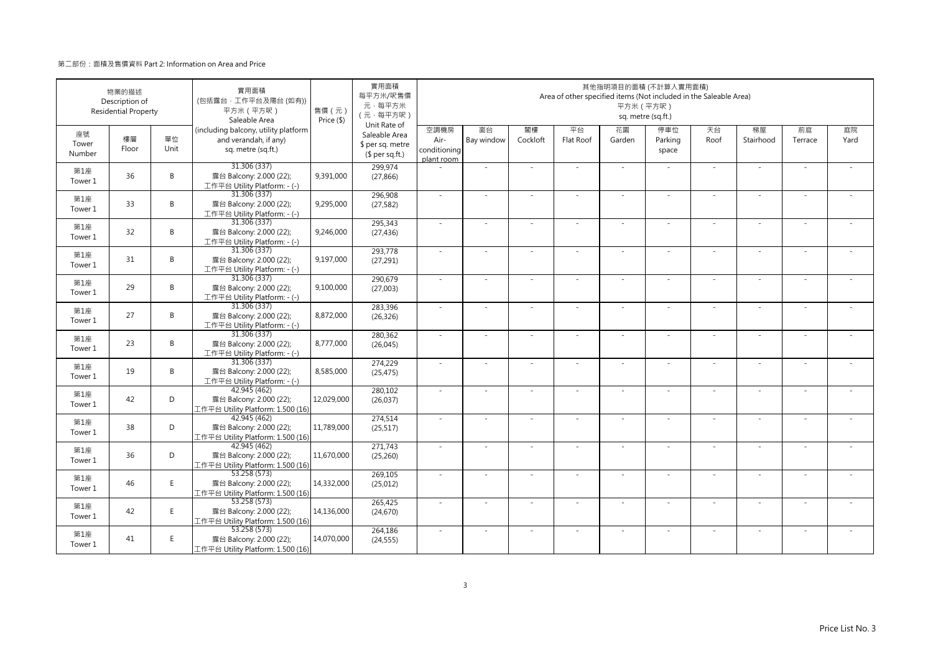|                       | 物業的描述<br>Description of<br><b>Residential Property</b> |            | 實用面積<br>(包括露台·工作平台及陽台(如有))<br>平方米 (平方呎)<br>Saleable Area                            | 售價 (元)<br>Price (\$) | 實用面積<br>每平方米/呎售價<br>元·每平方米<br>(元·每平方呎)                               |                                            |                  |                | Area of other specified items (Not included in the Saleable Area) | 平方米 (平方呎)    | 其他指明項目的面積 (不計算入實用面積)<br>sq. metre (sq.ft.) |            |                          |               |            |
|-----------------------|--------------------------------------------------------|------------|-------------------------------------------------------------------------------------|----------------------|----------------------------------------------------------------------|--------------------------------------------|------------------|----------------|-------------------------------------------------------------------|--------------|--------------------------------------------|------------|--------------------------|---------------|------------|
| 座號<br>Tower<br>Number | 樓層<br>Floor                                            | 單位<br>Unit | (including balcony, utility platform<br>and verandah, if any)<br>sq. metre (sq.ft.) |                      | Unit Rate of<br>Saleable Area<br>\$ per sq. metre<br>$$$ per sq.ft.) | 空調機房<br>Air-<br>conditioning<br>plant room | 窗台<br>Bay window | 閣樓<br>Cockloft | 平台<br>Flat Roof                                                   | 花園<br>Garden | 停車位<br>Parking<br>space                    | 天台<br>Roof | 梯屋<br>Stairhood          | 前庭<br>Terrace | 庭院<br>Yard |
| 第1座<br>Tower 1        | 36                                                     | B          | 31.306 (337)<br>露台 Balcony: 2.000 (22);<br>工作平台 Utility Platform: - (-)             | 9,391,000            | 299,974<br>(27, 866)                                                 |                                            | ×.               |                | $\sim$                                                            | ÷.           |                                            | $\sim$     | $\sim$                   |               |            |
| 第1座<br>Tower 1        | 33                                                     | B          | 31.306 (337)<br>露台 Balcony: 2.000 (22);<br>工作平台 Utility Platform: - (-)             | 9,295,000            | 296.908<br>(27, 582)                                                 | $\sim$                                     | $\sim$           | $\sim$         | ×                                                                 | ÷.           | $\sim$                                     | $\omega$   | $\bar{a}$                | $\sim$        |            |
| 第1座<br>Tower 1        | 32                                                     | B          | 31.306 (337)<br>露台 Balcony: 2.000 (22);<br>工作平台 Utility Platform: - (-)             | 9,246,000            | 295,343<br>(27, 436)                                                 | ×.                                         |                  |                |                                                                   | ÷,           |                                            | $\sim$     |                          |               |            |
| 第1座<br>Tower 1        | 31                                                     | B          | 31.306 (337)<br>露台 Balcony: 2.000 (22);<br>工作平台 Utility Platform: - (-)             | 9,197,000            | 293,778<br>(27, 291)                                                 | $\sim$                                     | $\sim$           |                | ÷,                                                                | ÷,           |                                            | $\sim$     | $\sim$                   |               |            |
| 第1座<br>Tower 1        | 29                                                     | B          | 31.306(337)<br>露台 Balcony: 2.000 (22);<br>工作平台 Utility Platform: - (-)              | 9,100,000            | 290,679<br>(27,003)                                                  | $\sim$                                     | ×.               |                | $\sim$                                                            | ÷.           | $\sim$                                     | ×.         | ×.                       |               |            |
| 第1座<br>Tower 1        | 27                                                     | B          | 31.306 (337)<br>露台 Balcony: 2.000 (22);<br>工作平台 Utility Platform: - (-)             | 8,872,000            | 283,396<br>(26, 326)                                                 | ×.                                         | ä,               |                | ÷,                                                                | ä,           |                                            | $\sim$     | $\sim$                   |               |            |
| 第1座<br>Tower 1        | 23                                                     | B          | 31.306 (337)<br>露台 Balcony: 2.000 (22);<br>工作平台 Utility Platform: - (-)             | 8,777,000            | 280,362<br>(26, 045)                                                 | $\sim$                                     | $\sim$           | $\sim$         | ÷.                                                                | ÷,           | $\sim$                                     | $\sim$     | $\bar{a}$                |               |            |
| 第1座<br>Tower 1        | 19                                                     | B          | 31.306 (337)<br>露台 Balcony: 2.000 (22);<br>工作平台 Utility Platform: - (-)             | 8,585,000            | 274,229<br>(25, 475)                                                 | $\sim$                                     | ä,               |                |                                                                   |              |                                            | ×.         | ä,                       |               |            |
| 第1座<br>Tower 1        | 42                                                     | D          | 42.945 (462)<br>露台 Balcony: 2.000 (22);<br>工作平台 Utility Platform: 1.500 (16)        | 12,029,000           | 280,102<br>(26, 037)                                                 | $\sim$                                     | $\sim$           |                | ÷.                                                                | ÷.           | $\sim$                                     | ×.         | $\sim$                   |               |            |
| 第1座<br>Tower 1        | 38                                                     | D          | 42.945 (462)<br>露台 Balcony: 2.000 (22);<br>工作平台 Utility Platform: 1.500 (16)        | 11,789,000           | 274,514<br>(25, 517)                                                 | $\sim$                                     | ×.               |                | $\sim$                                                            | ÷.           | $\sim$                                     | $\sim$     | ×.                       |               |            |
| 第1座<br>Tower 1        | 36                                                     | D          | 42.945 (462)<br>露台 Balcony: 2.000 (22);<br>工作平台 Utility Platform: 1.500 (16)        | 11,670,000           | 271,743<br>(25, 260)                                                 | ×.                                         | $\sim$           |                | $\sim$                                                            | $\sim$       |                                            | $\sim$     | $\sim$                   |               |            |
| 第1座<br>Tower 1        | 46                                                     | E          | 53.258 (573)<br>露台 Balcony: 2.000 (22);<br>工作平台 Utility Platform: 1.500 (16)        | 14,332,000           | 269,105<br>(25, 012)                                                 | ×.                                         | $\sim$           |                | $\sim$                                                            | ÷,           |                                            | $\sim$     | $\overline{\phantom{a}}$ |               |            |
| 第1座<br>Tower 1        | 42                                                     | E.         | 53.258 (573)<br>露台 Balcony: 2.000 (22);<br>工作平台 Utility Platform: 1.500 (16)        | 14,136,000           | 265,425<br>(24, 670)                                                 | $\sim$                                     | ä,               |                |                                                                   | ÷,           | $\sim$                                     | $\sim$     | ä,                       |               |            |
| 第1座<br>Tower 1        | 41                                                     | E          | 53.258 (573)<br>露台 Balcony: 2.000 (22);<br>工作平台 Utility Platform: 1.500 (16)        | 14,070,000           | 264,186<br>(24, 555)                                                 | ×.                                         | ×.               |                | $\sim$                                                            | ÷.           | $\sim$                                     | ×.         | $\sim$                   |               |            |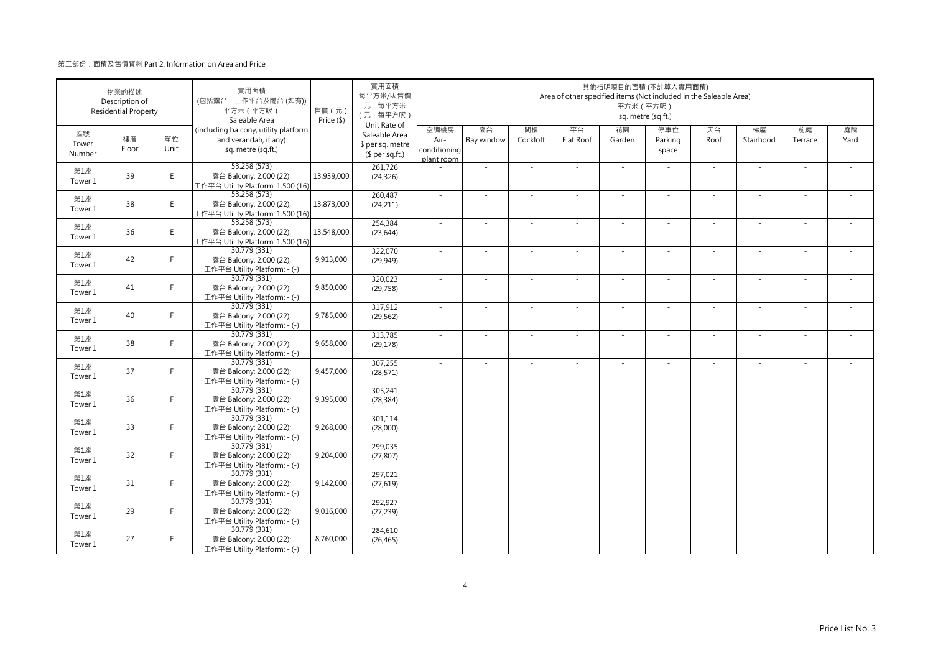|                       | 物業的描述<br>Description of<br><b>Residential Property</b> |            | 實用面積<br>(包括露台·工作平台及陽台(如有))<br>平方米 (平方呎)<br>Saleable Area                            | 售價 (元)<br>Price (\$) | 實用面積<br>每平方米/呎售價<br>元·每平方米<br>(元·每平方呎)<br>Unit Rate of |                                            |                  |                | Area of other specified items (Not included in the Saleable Area) | 平方米 (平方呎)    | 其他指明項目的面積 (不計算入實用面積)<br>sq. metre (sq.ft.) |            |                          |               |            |
|-----------------------|--------------------------------------------------------|------------|-------------------------------------------------------------------------------------|----------------------|--------------------------------------------------------|--------------------------------------------|------------------|----------------|-------------------------------------------------------------------|--------------|--------------------------------------------|------------|--------------------------|---------------|------------|
| 座號<br>Tower<br>Number | 樓層<br>Floor                                            | 單位<br>Unit | (including balcony, utility platform<br>and verandah, if any)<br>sq. metre (sq.ft.) |                      | Saleable Area<br>\$ per sq. metre<br>$$$ per sq.ft.)   | 空調機房<br>Air-<br>conditioning<br>plant room | 窗台<br>Bay window | 閣樓<br>Cockloft | 平台<br>Flat Roof                                                   | 花園<br>Garden | 停車位<br>Parking<br>space                    | 天台<br>Roof | 梯屋<br>Stairhood          | 前庭<br>Terrace | 庭院<br>Yard |
| 第1座<br>Tower 1        | 39                                                     | E          | 53.258 (573)<br>露台 Balcony: 2.000 (22);<br>工作平台 Utility Platform: 1.500 (16)        | 13,939,000           | 261,726<br>(24, 326)                                   |                                            | ×.               |                | $\sim$                                                            | ÷.           |                                            | $\sim$     | $\sim$                   |               |            |
| 第1座<br>Tower 1        | 38                                                     | E          | 53.258 (573)<br>露台 Balcony: 2.000 (22);<br>工作平台 Utility Platform: 1.500 (16)        | 13,873,000           | 260,487<br>(24, 211)                                   | $\sim$                                     | $\sim$           | $\sim$         | ×                                                                 | ÷.           | $\sim$                                     | $\omega$   | $\bar{a}$                | $\sim$        |            |
| 第1座<br>Tower 1        | 36                                                     | E          | 53.258 (573)<br>露台 Balcony: 2.000 (22);<br>工作平台 Utility Platform: 1.500 (16)        | 13,548,000           | 254,384<br>(23, 644)                                   | ×.                                         |                  |                |                                                                   | ÷,           |                                            | $\sim$     |                          |               |            |
| 第1座<br>Tower 1        | 42                                                     | F.         | 30.779 (331)<br>露台 Balcony: 2.000 (22);<br>工作平台 Utility Platform: - (-)             | 9,913,000            | 322,070<br>(29, 949)                                   | $\sim$                                     | $\sim$           |                | $\sim$                                                            | ÷,           | $\sim$                                     | $\sim$     | $\sim$                   |               |            |
| 第1座<br>Tower 1        | 41                                                     | F.         | 30.779 (331)<br>露台 Balcony: 2.000 (22);<br>工作平台 Utility Platform: - (-)             | 9,850,000            | 320,023<br>(29, 758)                                   | $\sim$                                     | ×.               |                | ÷.                                                                | ÷.           | $\sim$                                     | ×.         | ×.                       |               |            |
| 第1座<br>Tower 1        | 40                                                     | F          | 30.779 (331)<br>露台 Balcony: 2.000 (22);<br>工作平台 Utility Platform: - (-)             | 9,785,000            | 317,912<br>(29, 562)                                   | ×.                                         | ä,               |                | ÷,                                                                | ä,           |                                            | $\sim$     | $\sim$                   |               |            |
| 第1座<br>Tower 1        | 38                                                     | F.         | 30.779 (331)<br>露台 Balcony: 2.000 (22);<br>工作平台 Utility Platform: - (-)             | 9,658,000            | 313,785<br>(29, 178)                                   | $\sim$                                     | $\sim$           | $\sim$         | ÷.                                                                | ÷,           | $\sim$                                     | $\sim$     | $\sim$                   |               |            |
| 第1座<br>Tower 1        | 37                                                     | F          | 30.779 (331)<br>露台 Balcony: 2.000 (22);<br>工作平台 Utility Platform: - (-)             | 9,457,000            | 307,255<br>(28, 571)                                   | $\sim$                                     | ä,               |                |                                                                   |              |                                            | ×.         | ä,                       |               |            |
| 第1座<br>Tower 1        | 36                                                     | F.         | 30.779 (331)<br>露台 Balcony: 2.000 (22);<br>工作平台 Utility Platform: - (-)             | 9,395,000            | 305,241<br>(28, 384)                                   | $\sim$                                     | $\sim$           |                | ÷.                                                                | ÷.           | $\sim$                                     | ×.         | $\sim$                   |               |            |
| 第1座<br>Tower 1        | 33                                                     | F.         | 30.779 (331)<br>露台 Balcony: 2.000 (22);<br>工作平台 Utility Platform: - (-)             | 9,268,000            | 301,114<br>(28,000)                                    | $\sim$                                     | ×.               |                | $\sim$                                                            | ÷.           | $\sim$                                     | $\sim$     | ×.                       |               |            |
| 第1座<br>Tower 1        | 32                                                     | F.         | 30.779 (331)<br>露台 Balcony: 2.000 (22);<br>工作平台 Utility Platform: - (-)             | 9,204,000            | 299,035<br>(27, 807)                                   | $\sim$                                     | $\sim$           |                | $\sim$                                                            | $\sim$       |                                            | $\sim$     | $\sim$                   |               |            |
| 第1座<br>Tower 1        | 31                                                     | F.         | 30.779 (331)<br>露台 Balcony: 2.000 (22);<br>工作平台 Utility Platform: - (-)             | 9,142,000            | 297,021<br>(27, 619)                                   | ×.                                         | $\sim$           |                | $\sim$                                                            | ÷,           |                                            | $\sim$     | $\overline{\phantom{a}}$ |               |            |
| 第1座<br>Tower 1        | 29                                                     | F.         | 30.779 (331)<br>露台 Balcony: 2.000 (22);<br>工作平台 Utility Platform: - (-)             | 9,016,000            | 292,927<br>(27, 239)                                   | $\sim$                                     | ä,               |                |                                                                   | ÷,           | $\sim$                                     | $\sim$     | ä,                       |               |            |
| 第1座<br>Tower 1        | 27                                                     | F.         | 30.779 (331)<br>露台 Balcony: 2.000 (22);<br>工作平台 Utility Platform: - (-)             | 8,760,000            | 284,610<br>(26, 465)                                   | ×.                                         | ×.               |                | $\sim$                                                            | ÷.           | $\sim$                                     | ×.         | $\sim$                   |               |            |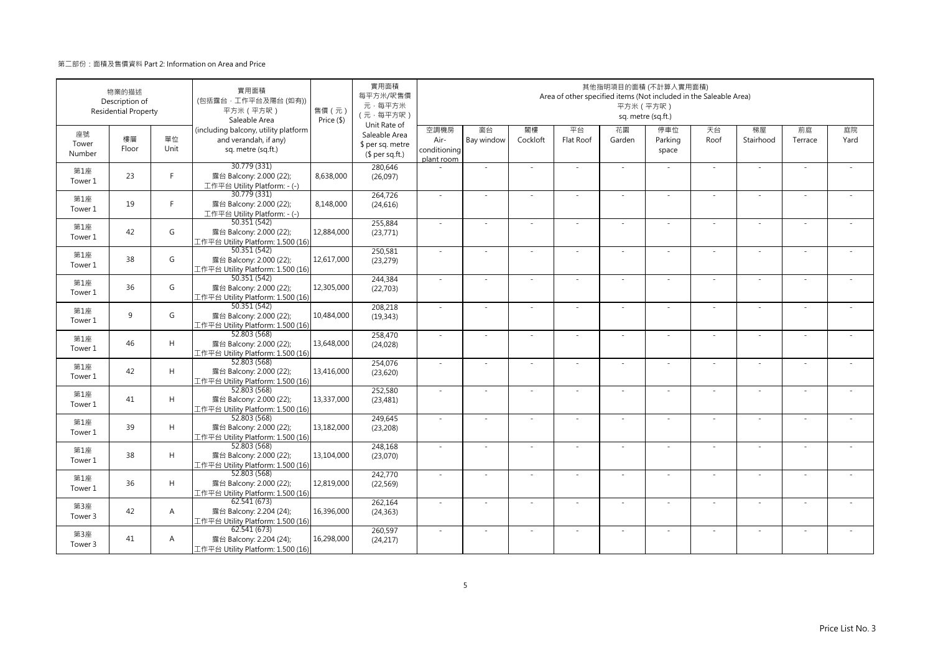|                       | 物業的描述<br>Description of<br><b>Residential Property</b> |                | 實用面積<br>(包括露台·工作平台及陽台(如有))<br>平方米 (平方呎)<br>Saleable Area                            | 售價 (元)<br>Price (\$) | 實用面積<br>每平方米/呎售價<br>元·每平方米<br>(元·每平方呎)<br>Unit Rate of |                                            |                  |                | Area of other specified items (Not included in the Saleable Area) | 平方米 (平方呎)    | 其他指明項目的面積 (不計算入實用面積)<br>sq. metre (sq.ft.) |            |                 |               |            |
|-----------------------|--------------------------------------------------------|----------------|-------------------------------------------------------------------------------------|----------------------|--------------------------------------------------------|--------------------------------------------|------------------|----------------|-------------------------------------------------------------------|--------------|--------------------------------------------|------------|-----------------|---------------|------------|
| 座號<br>Tower<br>Number | 樓層<br>Floor                                            | 單位<br>Unit     | (including balcony, utility platform<br>and verandah, if any)<br>sq. metre (sq.ft.) |                      | Saleable Area<br>\$ per sq. metre<br>$$$ per sq.ft.)   | 空調機房<br>Air-<br>conditioning<br>plant room | 窗台<br>Bay window | 閣樓<br>Cockloft | 平台<br>Flat Roof                                                   | 花園<br>Garden | 停車位<br>Parking<br>space                    | 天台<br>Roof | 梯屋<br>Stairhood | 前庭<br>Terrace | 庭院<br>Yard |
| 第1座<br>Tower 1        | 23                                                     | F              | 30.779 (331)<br>露台 Balcony: 2.000 (22);<br>工作平台 Utility Platform: - (-)             | 8,638,000            | 280,646<br>(26,097)                                    |                                            | ×.               |                | ÷.                                                                | $\sim$       |                                            | $\sim$     | $\sim$          |               |            |
| 第1座<br>Tower 1        | 19                                                     | F.             | 30.779 (331)<br>露台 Balcony: 2.000 (22);<br>工作平台 Utility Platform: - (-)             | 8,148,000            | 264,726<br>(24, 616)                                   | $\sim$                                     | ×.               | $\sim$         | $\sim$                                                            | ×.           | $\sim$                                     | $\sim$     | $\sim$          |               |            |
| 第1座<br>Tower 1        | 42                                                     | G              | 50.351 (542)<br>露台 Balcony: 2.000 (22);<br>工作平台 Utility Platform: 1.500 (16)        | 12,884,000           | 255,884<br>(23, 771)                                   | $\sim$                                     | ×.               |                | ÷.                                                                | ÷,           |                                            | $\sim$     | ÷.              |               |            |
| 第1座<br>Tower 1        | 38                                                     | G              | 50.351 (542)<br>露台 Balcony: 2.000 (22);<br>工作平台 Utility Platform: 1.500 (16)        | 12,617,000           | 250,581<br>(23, 279)                                   | ×.                                         | $\sim$           |                |                                                                   | ÷,           |                                            | $\sim$     | ٠               |               |            |
| 第1座<br>Tower 1        | 36                                                     | G              | 50.351 (542)<br>露台 Balcony: 2.000 (22);<br>工作平台 Utility Platform: 1.500 (16)        | 12,305,000           | 244,384<br>(22,703)                                    | $\sim$                                     | $\sim$           |                | $\overline{\phantom{a}}$                                          | $\sim$       | $\sim$                                     | $\sim$     | $\sim$          |               |            |
| 第1座<br>Tower 1        | 9                                                      | G              | 50.351 (542)<br>露台 Balcony: 2.000 (22);<br>工作平台 Utility Platform: 1.500 (16)        | 10,484,000           | 208,218<br>(19, 343)                                   |                                            |                  |                |                                                                   |              |                                            |            | ä,              |               |            |
| 第1座<br>Tower 1        | 46                                                     | H              | 52.803 (568)<br>露台 Balcony: 2.000 (22);<br>工作平台 Utility Platform: 1.500 (16)        | 13,648,000           | 258,470<br>(24, 028)                                   | $\sim$                                     | ×.               | $\sim$         | ÷.                                                                | ÷.           | $\sim$                                     | $\sim$     | $\sim$          | $\sim$        | $\sim$     |
| 第1座<br>Tower 1        | 42                                                     | H              | 52.803(568)<br>露台 Balcony: 2.000 (22);<br>工作平台 Utility Platform: 1.500 (16)         | 13,416,000           | 254,076<br>(23,620)                                    | $\sim$                                     |                  |                |                                                                   |              |                                            | $\sim$     |                 |               |            |
| 第1座<br>Tower 1        | 41                                                     | H              | 52.803 (568)<br>露台 Balcony: 2.000 (22);<br>工作平台 Utility Platform: 1.500 (16)        | 13,337,000           | 252,580<br>(23, 481)                                   | ×.                                         | ×.               |                | ÷.                                                                | ÷.           |                                            | $\sim$     | ×.              |               |            |
| 第1座<br>Tower 1        | 39                                                     | H              | 52.803 (568)<br>露台 Balcony: 2.000 (22);<br>工作平台 Utility Platform: 1.500 (16)        | 13,182,000           | 249,645<br>(23, 208)                                   | $\sim$                                     | ×.               |                | ÷.                                                                | ÷.           | $\sim$                                     | $\sim$     | $\sim$          |               |            |
| 第1座<br>Tower 1        | 38                                                     | H              | 52.803 (568)<br>露台 Balcony: 2.000 (22);<br>工作平台 Utility Platform: 1.500 (16)        | 13,104,000           | 248,168<br>(23,070)                                    | $\sim$                                     | ×.               |                | ÷.                                                                | ÷,           |                                            | ×.         | ×.              |               |            |
| 第1座<br>Tower 1        | 36                                                     | H              | 52.803 (568)<br>露台 Balcony: 2.000 (22);<br>工作平台 Utility Platform: 1.500 (16)        | 12,819,000           | 242,770<br>(22, 569)                                   | $\sim$                                     | $\sim$           | $\sim$         | ÷,                                                                | ÷,           | $\sim$                                     | $\sim$     | $\sim$          |               |            |
| 第3座<br>Tower 3        | 42                                                     | A              | 62.541 (673)<br>露台 Balcony: 2.204 (24);<br>工作平台 Utility Platform: 1.500 (16)        | 16,396,000           | 262,164<br>(24, 363)                                   | ×.                                         |                  |                |                                                                   |              |                                            |            |                 |               |            |
| 第3座<br>Tower 3        | 41                                                     | $\overline{A}$ | 62.541(673)<br>露台 Balcony: 2.204 (24);<br>工作平台 Utility Platform: 1.500 (16)         | 16,298,000           | 260,597<br>(24, 217)                                   | $\sim$                                     | $\sim$           |                | $\sim$                                                            | $\sim$       |                                            | ×.         | $\sim$          |               |            |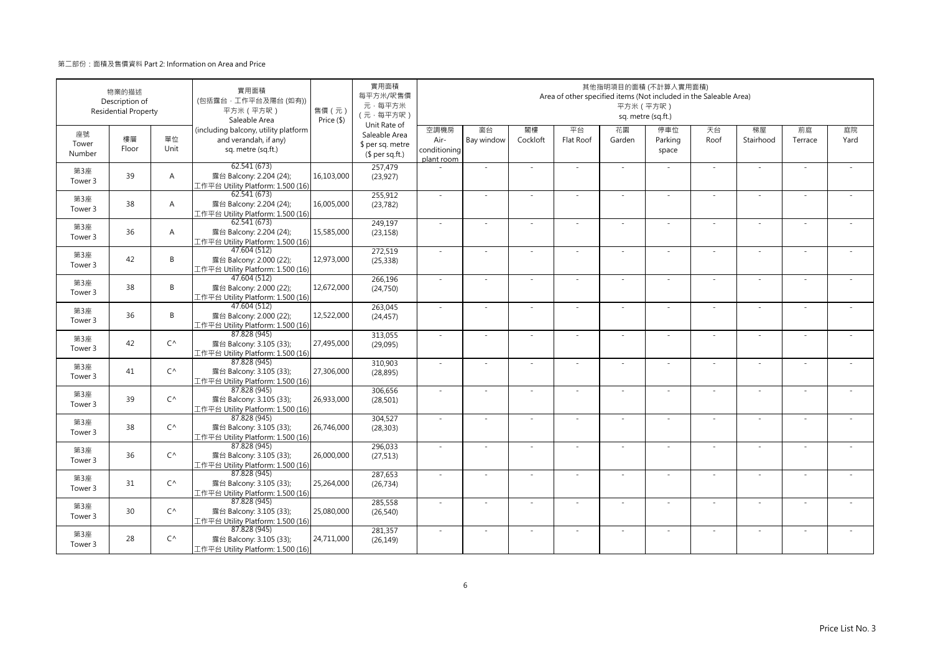|                       | 物業的描述<br>Description of<br><b>Residential Property</b> |                | 實用面積<br>(包括露台·工作平台及陽台(如有))<br>平方米 (平方呎)<br>Saleable Area                            | 售價 (元)<br>Price (\$) | 實用面積<br>每平方米/呎售價<br>元·每平方米<br>(元·每平方呎)                               |                                            |                  |                | Area of other specified items (Not included in the Saleable Area) | 平方米 (平方呎)    | 其他指明項目的面積 (不計算入實用面積)<br>sq. metre (sq.ft.) |            |                 |               |            |
|-----------------------|--------------------------------------------------------|----------------|-------------------------------------------------------------------------------------|----------------------|----------------------------------------------------------------------|--------------------------------------------|------------------|----------------|-------------------------------------------------------------------|--------------|--------------------------------------------|------------|-----------------|---------------|------------|
| 座號<br>Tower<br>Number | 樓層<br>Floor                                            | 單位<br>Unit     | (including balcony, utility platform<br>and verandah, if any)<br>sq. metre (sq.ft.) |                      | Unit Rate of<br>Saleable Area<br>\$ per sq. metre<br>$$$ per sq.ft.) | 空調機房<br>Air-<br>conditioning<br>plant room | 窗台<br>Bay window | 閣樓<br>Cockloft | 平台<br>Flat Roof                                                   | 花園<br>Garden | 停車位<br>Parking<br>space                    | 天台<br>Roof | 梯屋<br>Stairhood | 前庭<br>Terrace | 庭院<br>Yard |
| 第3座<br>Tower 3        | 39                                                     | $\overline{A}$ | 62.541 (673)<br>露台 Balcony: 2.204 (24);<br>工作平台 Utility Platform: 1.500 (16)        | 16,103,000           | 257,479<br>(23, 927)                                                 |                                            | ×.               |                |                                                                   | $\sim$       |                                            | $\sim$     | $\sim$          |               |            |
| 第3座<br>Tower 3        | 38                                                     | $\overline{A}$ | 62.541(673)<br>露台 Balcony: 2.204 (24);<br>工作平台 Utility Platform: 1.500 (16)         | 16,005,000           | 255,912<br>(23, 782)                                                 | $\sim$                                     | ×.               | $\sim$         | $\sim$                                                            | ×.           | $\sim$                                     | $\sim$     | $\sim$          |               |            |
| 第3座<br>Tower 3        | 36                                                     | $\overline{A}$ | 62.541(673)<br>露台 Balcony: 2.204 (24);<br>工作平台 Utility Platform: 1.500 (16)         | 15,585,000           | 249,197<br>(23, 158)                                                 | ×.                                         | ×.               |                | ÷.                                                                | ÷,           |                                            | $\sim$     | ÷.              |               |            |
| 第3座<br>Tower 3        | 42                                                     | B              | 47.604 (512)<br>露台 Balcony: 2.000 (22);<br>工作平台 Utility Platform: 1.500 (16)        | 12,973,000           | 272,519<br>(25, 338)                                                 | ×.                                         | $\sim$           |                |                                                                   | ÷,           |                                            | $\sim$     | ٠               |               |            |
| 第3座<br>Tower 3        | 38                                                     | B              | 47.604 (512)<br>露台 Balcony: 2.000 (22);<br>工作平台 Utility Platform: 1.500 (16)        | 12,672,000           | 266,196<br>(24, 750)                                                 | $\sim$                                     | $\sim$           |                | $\overline{\phantom{a}}$                                          | $\sim$       | $\sim$                                     | $\sim$     | ×.              |               |            |
| 第3座<br>Tower 3        | 36                                                     | B              | 47.604 (512)<br>露台 Balcony: 2.000 (22);<br>工作平台 Utility Platform: 1.500 (16)        | 12,522,000           | 263,045<br>(24, 457)                                                 |                                            |                  |                |                                                                   |              |                                            |            | ä,              |               |            |
| 第3座<br>Tower 3        | 42                                                     | $C^{\wedge}$   | 87.828 (945)<br>露台 Balcony: 3.105 (33);<br>工作平台 Utility Platform: 1.500 (16)        | 27,495,000           | 313,055<br>(29,095)                                                  | $\sim$                                     | ×.               | $\sim$         | ÷.                                                                | ÷.           | $\sim$                                     | $\sim$     | $\sim$          | $\sim$        | $\sim$     |
| 第3座<br>Tower 3        | 41                                                     | $C^{\wedge}$   | 87.828 (945)<br>露台 Balcony: 3.105 (33);<br>工作平台 Utility Platform: 1.500 (16)        | 27,306,000           | 310,903<br>(28, 895)                                                 | $\sim$                                     |                  |                |                                                                   |              |                                            | $\sim$     |                 |               |            |
| 第3座<br>Tower 3        | 39                                                     | $C^{\wedge}$   | 87.828 (945)<br>露台 Balcony: 3.105 (33);<br>工作平台 Utility Platform: 1.500 (16)        | 26,933,000           | 306,656<br>(28, 501)                                                 | $\sim$                                     | ×.               |                | ÷.                                                                | ä,           |                                            | $\sim$     | ×.              |               |            |
| 第3座<br>Tower 3        | 38                                                     | $C^{\wedge}$   | 87.828 (945)<br>露台 Balcony: 3.105 (33);<br>工作平台 Utility Platform: 1.500 (16)        | 26,746,000           | 304,527<br>(28, 303)                                                 | $\sim$                                     | $\sim$           |                | ÷.                                                                | ÷.           | $\sim$                                     | $\sim$     | $\sim$          |               |            |
| 第3座<br>Tower 3        | 36                                                     | $C^{\wedge}$   | 87.828 (945)<br>露台 Balcony: 3.105 (33);<br>工作平台 Utility Platform: 1.500 (16)        | 26,000,000           | 296,033<br>(27, 513)                                                 | $\sim$                                     | ×.               |                | ÷.                                                                | ÷.           |                                            | ×.         | ×.              |               |            |
| 第3座<br>Tower 3        | 31                                                     | $C^{\wedge}$   | 87.828 (945)<br>露台 Balcony: 3.105 (33);<br>工作平台 Utility Platform: 1.500 (16)        | 25,264,000           | 287,653<br>(26, 734)                                                 | $\sim$                                     | $\sim$           | $\sim$         | ÷,                                                                | ÷,           | $\sim$                                     | $\sim$     | $\sim$          |               |            |
| 第3座<br>Tower 3        | 30                                                     | $C^{\wedge}$   | 87.828 (945)<br>露台 Balcony: 3.105 (33);<br>工作平台 Utility Platform: 1.500 (16)        | 25,080,000           | 285,558<br>(26, 540)                                                 |                                            |                  |                |                                                                   |              |                                            |            |                 |               |            |
| 第3座<br>Tower 3        | 28                                                     | $C^{\wedge}$   | 87.828 (945)<br>露台 Balcony: 3.105 (33);<br>工作平台 Utility Platform: 1.500 (16)        | 24,711,000           | 281,357<br>(26, 149)                                                 | $\sim$                                     | $\sim$           |                | $\sim$                                                            | $\sim$       |                                            | ×.         | $\sim$          |               |            |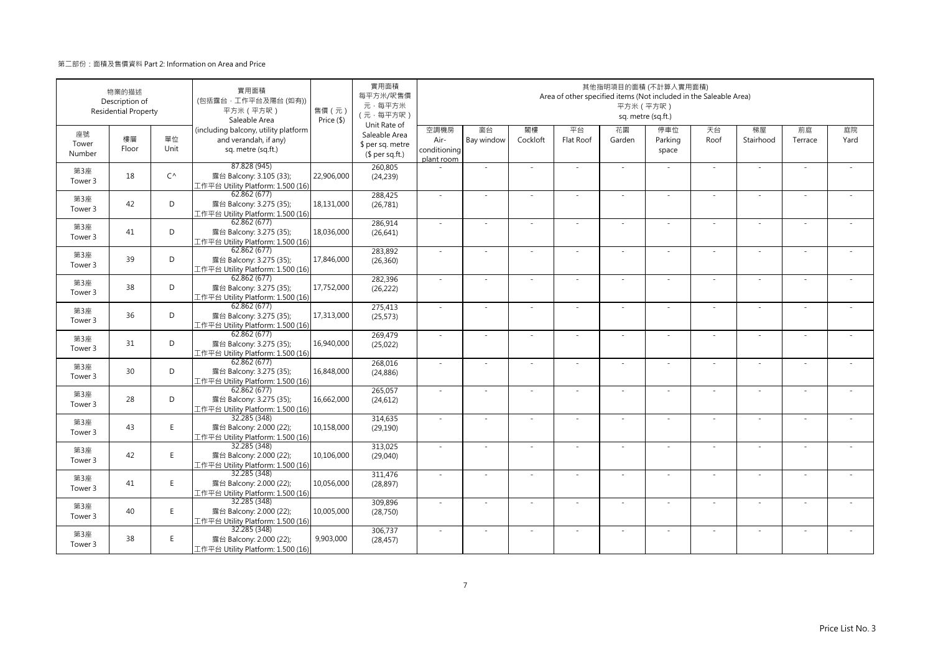|                       | 物業的描述<br>Description of<br><b>Residential Property</b> |              | 實用面積<br>(包括露台·工作平台及陽台(如有))<br>平方米 (平方呎)<br>Saleable Area                            | 售價 (元)<br>Price (\$) | 實用面積<br>每平方米/呎售價<br>元·每平方米<br>(元·每平方呎)                               |                                            |                  |                | Area of other specified items (Not included in the Saleable Area) | 平方米 (平方呎)    | 其他指明項目的面積 (不計算入實用面積)<br>sq. metre (sq.ft.) |            |                 |               |            |
|-----------------------|--------------------------------------------------------|--------------|-------------------------------------------------------------------------------------|----------------------|----------------------------------------------------------------------|--------------------------------------------|------------------|----------------|-------------------------------------------------------------------|--------------|--------------------------------------------|------------|-----------------|---------------|------------|
| 座號<br>Tower<br>Number | 樓層<br>Floor                                            | 單位<br>Unit   | (including balcony, utility platform<br>and verandah, if any)<br>sq. metre (sq.ft.) |                      | Unit Rate of<br>Saleable Area<br>\$ per sq. metre<br>$$$ per sq.ft.) | 空調機房<br>Air-<br>conditioning<br>plant room | 窗台<br>Bay window | 閣樓<br>Cockloft | 平台<br>Flat Roof                                                   | 花園<br>Garden | 停車位<br>Parking<br>space                    | 天台<br>Roof | 梯屋<br>Stairhood | 前庭<br>Terrace | 庭院<br>Yard |
| 第3座<br>Tower 3        | 18                                                     | $C^{\wedge}$ | 87.828 (945)<br>露台 Balcony: 3.105 (33);<br>工作平台 Utility Platform: 1.500 (16)        | 22,906,000           | 260,805<br>(24, 239)                                                 |                                            | ×.               |                |                                                                   | ÷.           |                                            | $\sim$     | $\sim$          |               |            |
| 第3座<br>Tower 3        | 42                                                     | D            | 62.862 (677)<br>露台 Balcony: 3.275 (35);<br>工作平台 Utility Platform: 1.500 (16)        | 18,131,000           | 288,425<br>(26, 781)                                                 | $\sim$                                     | $\sim$           | $\sim$         | $\sim$                                                            | ×.           | $\sim$                                     | $\sim$     | $\sim$          |               |            |
| 第3座<br>Tower 3        | 41                                                     | D            | 62.862 (677)<br>露台 Balcony: 3.275 (35);<br>工作平台 Utility Platform: 1.500 (16)        | 18,036,000           | 286,914<br>(26, 641)                                                 | $\sim$                                     | ×.               |                | ÷.                                                                | ÷.           |                                            | ×.         | J.              |               |            |
| 第3座<br>Tower 3        | 39                                                     | D            | 62.862 (677)<br>露台 Balcony: 3.275 (35);<br>工作平台 Utility Platform: 1.500 (16)        | 17,846,000           | 283,892<br>(26, 360)                                                 | $\sim$                                     | ä,               |                |                                                                   |              |                                            | ×.         | ×.              |               |            |
| 第3座<br>Tower 3        | 38                                                     | D            | 62.862 (677)<br>露台 Balcony: 3.275 (35);<br>工作平台 Utility Platform: 1.500 (16)        | 17,752,000           | 282,396<br>(26, 222)                                                 | $\sim$                                     | ×.               |                | ÷.                                                                | ä,           | $\sim$                                     | $\sim$     | $\sim$          |               |            |
| 第3座<br>Tower 3        | 36                                                     | D            | 62.862 (677)<br>露台 Balcony: 3.275 (35);<br>工作平台 Utility Platform: 1.500 (16)        | 17,313,000           | 275,413<br>(25, 573)                                                 | ×.                                         | $\sim$           |                | ÷,                                                                | ä,           |                                            | $\sim$     | $\sim$          |               |            |
| 第3座<br>Tower 3        | 31                                                     | D            | 62.862(677)<br>露台 Balcony: 3.275 (35);<br>工作平台 Utility Platform: 1.500 (16)         | 16,940,000           | 269,479<br>(25,022)                                                  | $\sim$                                     | $\sim$           | $\sim$         | ×                                                                 | ÷.           | $\sim$                                     | $\sim$     | $\bar{a}$       | $\sim$        |            |
| 第3座<br>Tower 3        | 30                                                     | D            | 62.862(677)<br>露台 Balcony: 3.275 (35);<br>工作平台 Utility Platform: 1.500 (16)         | 16,848,000           | 268,016<br>(24, 886)                                                 | $\sim$                                     |                  |                |                                                                   |              |                                            | $\sim$     |                 |               |            |
| 第3座<br>Tower 3        | 28                                                     | D            | 62.862(677)<br>露台 Balcony: 3.275 (35);<br>工作平台 Utility Platform: 1.500 (16)         | 16,662,000           | 265,057<br>(24, 612)                                                 | ×.                                         | $\sim$           |                |                                                                   |              |                                            | $\sim$     | $\sim$          |               |            |
| 第3座<br>Tower 3        | 43                                                     | E.           | 32.285 (348)<br>露台 Balcony: 2.000 (22);<br>工作平台 Utility Platform: 1.500 (16)        | 10,158,000           | 314,635<br>(29, 190)                                                 | $\sim$                                     | ×.               |                | ÷.                                                                | ÷.           | $\sim$                                     | $\sim$     | ×.              |               |            |
| 第3座<br>Tower 3        | 42                                                     | E.           | 32.285 (348)<br>露台 Balcony: 2.000 (22);<br>工作平台 Utility Platform: 1.500 (16)        | 10,106,000           | 313,025<br>(29,040)                                                  |                                            |                  |                |                                                                   |              |                                            |            |                 |               |            |
| 第3座<br>Tower 3        | 41                                                     | E            | 32.285 (348)<br>露台 Balcony: 2.000 (22);<br>工作平台 Utility Platform: 1.500 (16)        | 10,056,000           | 311,476<br>(28, 897)                                                 | ×.                                         | ×.               |                | $\sim$                                                            | ÷.           | $\sim$                                     | ×.         | ×.              |               |            |
| 第3座<br>Tower 3        | 40                                                     | E            | 32.285 (348)<br>露台 Balcony: 2.000 (22);<br>工作平台 Utility Platform: 1.500 (16)        | 10,005,000           | 309,896<br>(28, 750)                                                 | $\sim$                                     | ÷,               |                |                                                                   | ٠            |                                            | $\sim$     | ÷,              |               |            |
| 第3座<br>Tower 3        | 38                                                     | E.           | 32.285 (348)<br>露台 Balcony: 2.000 (22);<br>工作平台 Utility Platform: 1.500 (16)        | 9,903,000            | 306,737<br>(28, 457)                                                 |                                            |                  |                |                                                                   |              |                                            | $\sim$     | J,              |               |            |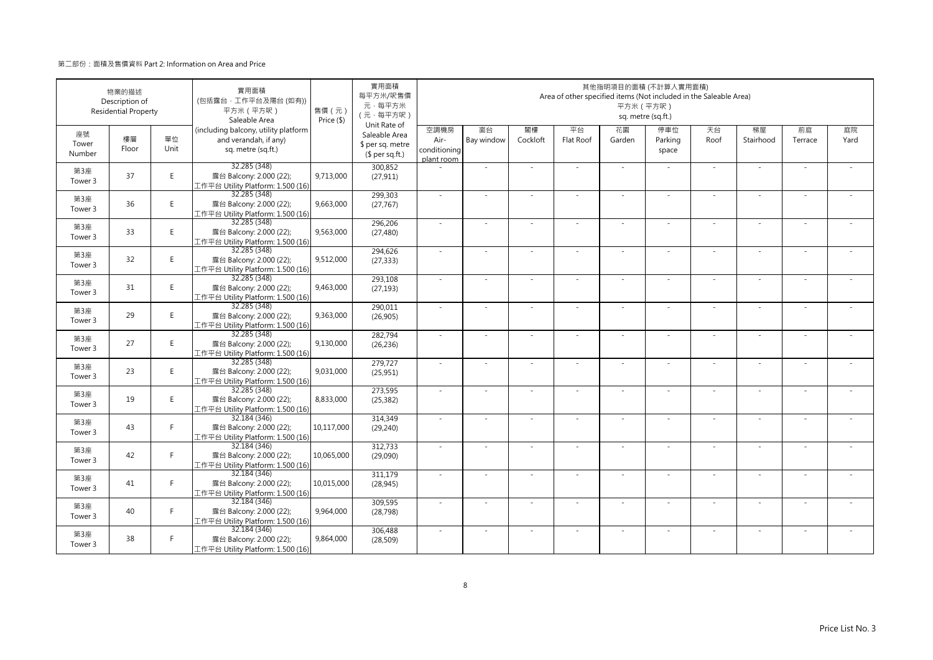|                       | 物業的描述<br>Description of<br><b>Residential Property</b> |            | 實用面積<br>(包括露台·工作平台及陽台(如有))<br>平方米 (平方呎)<br>Saleable Area                            | 售價(元)<br>Price (\$) | 實用面積<br>每平方米/呎售價<br>元·每平方米<br>(元·每平方呎)                               |                                            |                          |                | Area of other specified items (Not included in the Saleable Area) | 其他指明項目的面積 (不計算入實用面積)<br>平方米 (平方呎) | sq. metre (sq.ft.)      |            |                          |               |            |
|-----------------------|--------------------------------------------------------|------------|-------------------------------------------------------------------------------------|---------------------|----------------------------------------------------------------------|--------------------------------------------|--------------------------|----------------|-------------------------------------------------------------------|-----------------------------------|-------------------------|------------|--------------------------|---------------|------------|
| 座號<br>Tower<br>Number | 樓層<br>Floor                                            | 單位<br>Unit | (including balcony, utility platform<br>and verandah, if any)<br>sq. metre (sq.ft.) |                     | Unit Rate of<br>Saleable Area<br>\$ per sq. metre<br>$$$ per sq.ft.) | 空調機房<br>Air-<br>conditioning<br>plant room | 窗台<br>Bay window         | 閣樓<br>Cockloft | 平台<br>Flat Roof                                                   | 花園<br>Garden                      | 停車位<br>Parking<br>space | 天台<br>Roof | 梯屋<br>Stairhood          | 前庭<br>Terrace | 庭院<br>Yard |
| 第3座<br>Tower 3        | 37                                                     | E.         | 32.285 (348)<br>露台 Balcony: 2.000 (22);<br>工作平台 Utility Platform: 1.500 (16)        | 9,713,000           | 300,852<br>(27, 911)                                                 |                                            | ×.                       |                |                                                                   | $\sim$                            |                         | $\sim$     | $\sim$                   |               |            |
| 第3座<br>Tower 3        | 36                                                     | E          | 32.285 (348)<br>露台 Balcony: 2.000 (22);<br>工作平台 Utility Platform: 1.500 (16)        | 9,663,000           | 299,303<br>(27, 767)                                                 | $\sim$                                     | $\sim$                   | $\sim$         | ÷.                                                                | ×.                                | $\sim$                  | $\sim$     | $\sim$                   | $\sim$        |            |
| 第3座<br>Tower 3        | 33                                                     | E          | 32.285 (348)<br>露台 Balcony: 2.000 (22);<br>工作平台 Utility Platform: 1.500 (16)        | 9,563,000           | 296,206<br>(27, 480)                                                 | $\sim$                                     | ÷,                       |                | ÷.                                                                | $\sim$                            |                         | $\sim$     | ä,                       |               |            |
| 第3座<br>Tower 3        | 32                                                     | E          | 32.285 (348)<br>露台 Balcony: 2.000 (22);<br>工作平台 Utility Platform: 1.500 (16)        | 9,512,000           | 294,626<br>(27, 333)                                                 | ÷.                                         | ä,                       |                |                                                                   |                                   |                         | $\sim$     | J.                       |               |            |
| 第3座<br>Tower 3        | 31                                                     | E.         | 32.285 (348)<br>露台 Balcony: 2.000 (22);<br>工作平台 Utility Platform: 1.500 (16)        | 9,463,000           | 293,108<br>(27, 193)                                                 | $\sim$                                     | $\sim$                   |                | ÷.                                                                | ×.                                | $\sim$                  | $\sim$     | $\sim$                   | $\sim$        |            |
| 第3座<br>Tower 3        | 29                                                     | E          | 32.285 (348)<br>露台 Balcony: 2.000 (22);<br>工作平台 Utility Platform: 1.500 (16)        | 9,363,000           | 290,011<br>(26,905)                                                  | ×.                                         | $\overline{\phantom{a}}$ |                |                                                                   | $\overline{\phantom{a}}$          |                         | $\sim$     | $\overline{\phantom{a}}$ |               |            |
| 第3座<br>Tower 3        | 27                                                     | E          | 32.285 (348)<br>露台 Balcony: 2.000 (22);<br>工作平台 Utility Platform: 1.500 (16)        | 9,130,000           | 282.794<br>(26, 236)                                                 | $\sim$                                     | ×.                       | $\sim$         | $\overline{\phantom{a}}$                                          | ×.                                | $\sim$                  | ×.         | ×.                       |               |            |
| 第3座<br>Tower 3        | 23                                                     | E.         | 32.285 (348)<br>露台 Balcony: 2.000 (22);<br>工作平台 Utility Platform: 1.500 (16)        | 9,031,000           | 279,727<br>(25, 951)                                                 | ÷.                                         | ä,                       |                |                                                                   | ä,                                |                         | $\sim$     | ä,                       |               |            |
| 第3座<br>Tower 3        | 19                                                     | E          | 32.285 (348)<br>露台 Balcony: 2.000 (22);<br>工作平台 Utility Platform: 1.500 (16)        | 8,833,000           | 273,595<br>(25, 382)                                                 | ×.                                         | ×.                       |                |                                                                   |                                   |                         | $\sim$     | ä,                       |               |            |
| 第3座<br>Tower 3        | 43                                                     | F.         | 32.184 (346)<br>露台 Balcony: 2.000 (22);<br>工作平台 Utility Platform: 1.500 (16)        | 10,117,000          | 314,349<br>(29, 240)                                                 | $\sim$                                     | $\sim$                   | $\sim$         | ×.                                                                | ×.                                | $\sim$                  | $\sim$     | $\sim$                   | $\sim$        |            |
| 第3座<br>Tower 3        | 42                                                     | F.         | 32.184 (346)<br>露台 Balcony: 2.000 (22);<br>工作平台 Utility Platform: 1.500 (16)        | 10,065,000          | 312,733<br>(29,090)                                                  | $\sim$                                     | $\sim$                   |                |                                                                   |                                   |                         | $\sim$     | ÷,                       |               |            |
| 第3座<br>Tower 3        | 41                                                     | F.         | 32.184 (346)<br>露台 Balcony: 2.000 (22);<br>工作平台 Utility Platform: 1.500 (16)        | 10,015,000          | 311,179<br>(28, 945)                                                 | $\sim$                                     | ×.                       |                | ÷.                                                                | $\sim$                            | $\sim$                  | ×.         | ×,                       |               |            |
| 第3座<br>Tower 3        | 40                                                     | F.         | 32.184 (346)<br>露台 Balcony: 2.000 (22);<br>工作平台 Utility Platform: 1.500 (16)        | 9,964,000           | 309,595<br>(28, 798)                                                 | ×.                                         | ÷,                       |                |                                                                   | ٠                                 |                         | $\sim$     | ÷                        |               |            |
| 第3座<br>Tower 3        | 38                                                     | F.         | 32.184 (346)<br>露台 Balcony: 2.000 (22);<br>工作平台 Utility Platform: 1.500 (16)        | 9,864,000           | 306,488<br>(28, 509)                                                 | ×.                                         |                          |                |                                                                   |                                   |                         | $\sim$     | ÷,                       |               |            |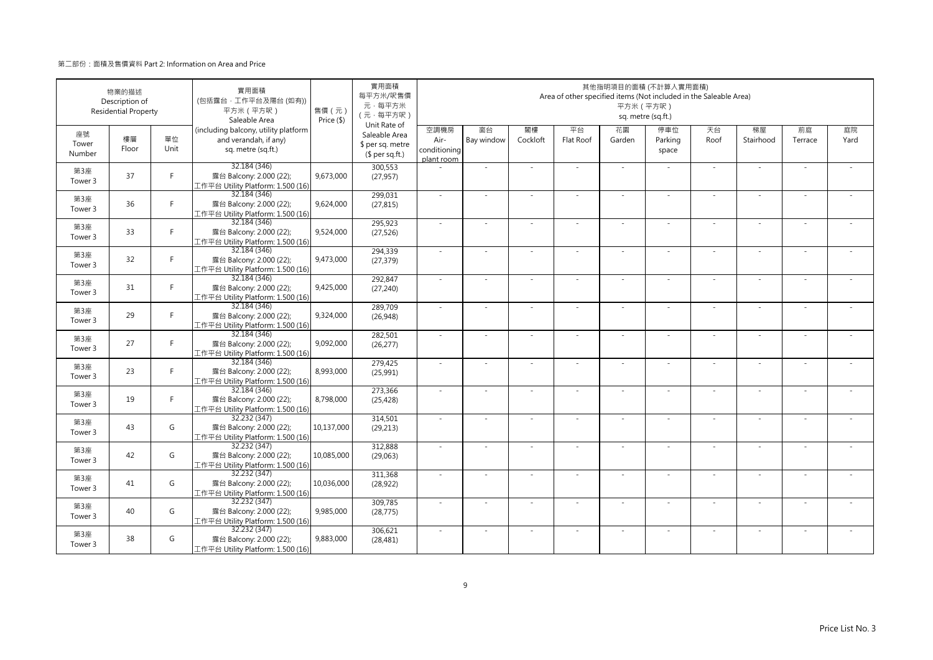|                       | 物業的描述<br>Description of<br><b>Residential Property</b> |            | 實用面積<br>(包括露台·工作平台及陽台(如有))<br>平方米 (平方呎)<br>Saleable Area                            | 售價 (元)<br>Price (\$) | 實用面積<br>每平方米/呎售價<br>元·每平方米<br>(元·每平方呎)<br>Unit Rate of |                                            |                  |                | Area of other specified items (Not included in the Saleable Area) | 平方米 (平方呎)    | 其他指明項目的面積 (不計算入實用面積)<br>sq. metre (sq.ft.) |            |                 |               |            |
|-----------------------|--------------------------------------------------------|------------|-------------------------------------------------------------------------------------|----------------------|--------------------------------------------------------|--------------------------------------------|------------------|----------------|-------------------------------------------------------------------|--------------|--------------------------------------------|------------|-----------------|---------------|------------|
| 座號<br>Tower<br>Number | 樓層<br>Floor                                            | 單位<br>Unit | (including balcony, utility platform<br>and verandah, if any)<br>sq. metre (sq.ft.) |                      | Saleable Area<br>\$ per sq. metre<br>$$$ per sq.ft.)   | 空調機房<br>Air-<br>conditioning<br>plant room | 窗台<br>Bay window | 閣樓<br>Cockloft | 平台<br>Flat Roof                                                   | 花園<br>Garden | 停車位<br>Parking<br>space                    | 天台<br>Roof | 梯屋<br>Stairhood | 前庭<br>Terrace | 庭院<br>Yard |
| 第3座<br>Tower 3        | 37                                                     | F          | 32.184 (346)<br>露台 Balcony: 2.000 (22);<br>工作平台 Utility Platform: 1.500 (16)        | 9,673,000            | 300,553<br>(27, 957)                                   |                                            | ×.               |                | ÷.                                                                | $\sim$       |                                            | $\sim$     | $\sim$          |               |            |
| 第3座<br>Tower 3        | 36                                                     | F.         | 32.184 (346)<br>露台 Balcony: 2.000 (22);<br>工作平台 Utility Platform: 1.500 (16)        | 9,624,000            | 299,031<br>(27, 815)                                   | $\sim$                                     | ×.               | $\sim$         | $\sim$                                                            | ×.           | $\sim$                                     | $\sim$     | $\sim$          |               |            |
| 第3座<br>Tower 3        | 33                                                     | F.         | 32.184 (346)<br>露台 Balcony: 2.000 (22);<br>工作平台 Utility Platform: 1.500 (16)        | 9,524,000            | 295,923<br>(27, 526)                                   | ×.                                         | ×.               |                | ÷.                                                                | ÷,           |                                            | $\sim$     | ÷.              |               |            |
| 第3座<br>Tower 3        | 32                                                     | F.         | 32.184 (346)<br>露台 Balcony: 2.000 (22);<br>工作平台 Utility Platform: 1.500 (16)        | 9,473,000            | 294,339<br>(27, 379)                                   | ×.                                         | $\sim$           |                |                                                                   | ÷,           |                                            | $\sim$     | ٠               |               |            |
| 第3座<br>Tower 3        | 31                                                     | F.         | 32.184 (346)<br>露台 Balcony: 2.000 (22);<br>工作平台 Utility Platform: 1.500 (16)        | 9,425,000            | 292,847<br>(27, 240)                                   | $\sim$                                     | $\sim$           |                | $\overline{\phantom{a}}$                                          | $\sim$       | $\sim$                                     | $\sim$     | $\sim$          |               |            |
| 第3座<br>Tower 3        | 29                                                     | F.         | 32.184 (346)<br>露台 Balcony: 2.000 (22);<br>工作平台 Utility Platform: 1.500 (16)        | 9,324,000            | 289,709<br>(26, 948)                                   |                                            |                  |                |                                                                   |              |                                            |            | ä,              |               |            |
| 第3座<br>Tower 3        | 27                                                     | F.         | 32.184 (346)<br>露台 Balcony: 2.000 (22);<br>工作平台 Utility Platform: 1.500 (16)        | 9,092,000            | 282,501<br>(26, 277)                                   | $\sim$                                     | ×.               | $\sim$         | ÷.                                                                | ÷.           | $\sim$                                     | $\sim$     | $\sim$          | $\sim$        | $\sim$     |
| 第3座<br>Tower 3        | 23                                                     | F.         | 32.184 (346)<br>露台 Balcony: 2.000 (22);<br>工作平台 Utility Platform: 1.500 (16)        | 8,993,000            | 279,425<br>(25,991)                                    | $\sim$                                     |                  |                |                                                                   |              |                                            | $\sim$     |                 |               |            |
| 第3座<br>Tower 3        | 19                                                     | F.         | 32.184 (346)<br>露台 Balcony: 2.000 (22);<br>工作平台 Utility Platform: 1.500 (16)        | 8,798,000            | 273,366<br>(25, 428)                                   | ×.                                         | ×.               |                | ÷,                                                                | ä,           |                                            | $\sim$     | ×.              |               |            |
| 第3座<br>Tower 3        | 43                                                     | G          | 32.232 (347)<br>露台 Balcony: 2.000 (22);<br>工作平台 Utility Platform: 1.500 (16)        | 10,137,000           | 314,501<br>(29, 213)                                   | $\sim$                                     | ×.               |                | ÷.                                                                | ÷.           | $\sim$                                     | $\sim$     | $\sim$          |               |            |
| 第3座<br>Tower 3        | 42                                                     | G          | 32.232 (347)<br>露台 Balcony: 2.000 (22);<br>工作平台 Utility Platform: 1.500 (16)        | 10,085,000           | 312,888<br>(29,063)                                    | $\sim$                                     | ×.               |                | J.                                                                | ä,           |                                            | ×.         | ÷,              |               |            |
| 第3座<br>Tower 3        | 41                                                     | G          | 32.232 (347)<br>露台 Balcony: 2.000 (22);<br>工作平台 Utility Platform: 1.500 (16)        | 10,036,000           | 311,368<br>(28, 922)                                   | $\sim$                                     | $\sim$           | $\sim$         | ÷,                                                                | ÷,           | $\sim$                                     | $\sim$     | $\sim$          |               |            |
| 第3座<br>Tower 3        | 40                                                     | G          | 32.232 (347)<br>露台 Balcony: 2.000 (22);<br>工作平台 Utility Platform: 1.500 (16)        | 9,985,000            | 309,785<br>(28, 775)                                   |                                            |                  |                |                                                                   |              |                                            |            |                 |               |            |
| 第3座<br>Tower 3        | 38                                                     | G          | 32.232(347)<br>露台 Balcony: 2.000 (22);<br>工作平台 Utility Platform: 1.500 (16)         | 9,883,000            | 306,621<br>(28, 481)                                   | $\sim$                                     | $\sim$           |                | $\sim$                                                            | $\sim$       |                                            | ×.         | $\sim$          |               |            |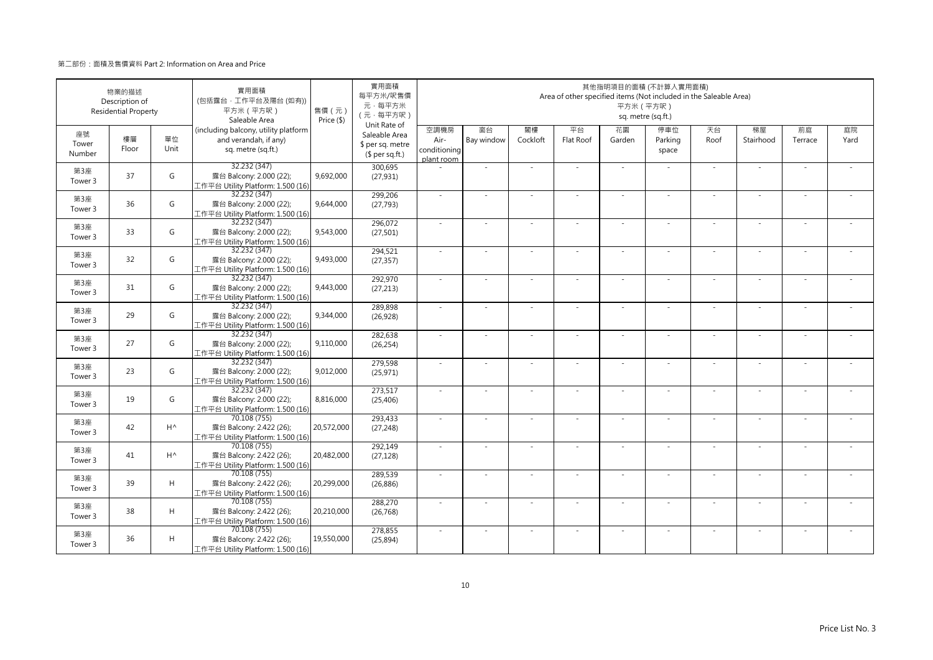|                       | 物業的描述<br>Description of<br><b>Residential Property</b> |              | 實用面積<br>(包括露台·工作平台及陽台 (如有))<br>平方米 (平方呎)<br>Saleable Area                           | 售價 (元)<br>Price (\$) | 實用面積<br>每平方米/呎售價<br>元·每平方米<br>(元·每平方呎)                               |                                            |                  |                | Area of other specified items (Not included in the Saleable Area) | 平方米 (平方呎)    | 其他指明項目的面積 (不計算入實用面積)<br>sq. metre (sq.ft.) |            |                 |               |            |
|-----------------------|--------------------------------------------------------|--------------|-------------------------------------------------------------------------------------|----------------------|----------------------------------------------------------------------|--------------------------------------------|------------------|----------------|-------------------------------------------------------------------|--------------|--------------------------------------------|------------|-----------------|---------------|------------|
| 座號<br>Tower<br>Number | 樓層<br>Floor                                            | 單位<br>Unit   | (including balcony, utility platform<br>and verandah, if any)<br>sq. metre (sq.ft.) |                      | Unit Rate of<br>Saleable Area<br>\$ per sq. metre<br>$$$ per sq.ft.) | 空調機房<br>Air-<br>conditioning<br>plant room | 窗台<br>Bay window | 閣樓<br>Cockloft | 平台<br>Flat Roof                                                   | 花園<br>Garden | 停車位<br>Parking<br>space                    | 天台<br>Roof | 梯屋<br>Stairhood | 前庭<br>Terrace | 庭院<br>Yard |
| 第3座<br>Tower 3        | 37                                                     | G            | 32.232 (347)<br>露台 Balcony: 2.000 (22);<br>工作平台 Utility Platform: 1.500 (16)        | 9,692,000            | 300,695<br>(27, 931)                                                 |                                            | ä,               |                |                                                                   | ä,           |                                            | ×.         | ä,              |               |            |
| 第3座<br>Tower 3        | 36                                                     | G            | 32.232 (347)<br>露台 Balcony: 2.000 (22);<br>工作平台 Utility Platform: 1.500 (16)        | 9,644,000            | 299,206<br>(27, 793)                                                 | ×.                                         | $\sim$           |                | ÷.                                                                | ÷.           | $\sim$                                     | ×.         | $\sim$          |               |            |
| 第3座<br>Tower 3        | 33                                                     | G            | 32.232 (347)<br>露台 Balcony: 2.000 (22);<br>工作平台 Utility Platform: 1.500 (16)        | 9,543,000            | 296,072<br>(27, 501)                                                 | ×.                                         |                  |                |                                                                   |              |                                            |            |                 |               |            |
| 第3座<br>Tower 3        | 32                                                     | G            | 32.232 (347)<br>露台 Balcony: 2.000 (22);<br>工作平台 Utility Platform: 1.500 (16)        | 9,493,000            | 294,521<br>(27, 357)                                                 | $\sim$                                     | $\sim$           |                |                                                                   | ÷,           |                                            | $\sim$     | $\sim$          |               |            |
| 第3座<br>Tower 3        | 31                                                     | G            | 32.232 (347)<br>露台 Balcony: 2.000 (22);<br>工作平台 Utility Platform: 1.500 (16)        | 9,443,000            | 292,970<br>(27, 213)                                                 | $\sim$                                     | $\sim$           |                | $\overline{\phantom{a}}$                                          | ÷.           | $\sim$                                     | $\sim$     | $\sim$          |               |            |
| 第3座<br>Tower 3        | 29                                                     | G            | 32.232 (347)<br>露台 Balcony: 2.000 (22);<br>工作平台 Utility Platform: 1.500 (16)        | 9,344,000            | 289,898<br>(26, 928)                                                 |                                            |                  |                |                                                                   |              |                                            | $\sim$     | ä,              |               |            |
| 第3座<br>Tower 3        | 27                                                     | G            | 32.232 (347)<br>露台 Balcony: 2.000 (22);<br>工作平台 Utility Platform: 1.500 (16)        | 9,110,000            | 282,638<br>(26, 254)                                                 | $\sim$                                     | $\sim$           |                | ÷.                                                                | ÷.           | $\sim$                                     | ×.         | ×.              |               |            |
| 第3座<br>Tower 3        | 23                                                     | G            | 32.232 (347)<br>露台 Balcony: 2.000 (22);<br>工作平台 Utility Platform: 1.500 (16)        | 9,012,000            | 279,598<br>(25, 971)                                                 |                                            |                  |                |                                                                   |              |                                            |            |                 |               |            |
| 第3座<br>Tower 3        | 19                                                     | G            | 32.232 (347)<br>露台 Balcony: 2.000 (22);<br>工作平台 Utility Platform: 1.500 (16)        | 8,816,000            | 273,517<br>(25, 406)                                                 | ×.                                         | $\sim$           |                |                                                                   | ÷,           |                                            | $\sim$     | $\sim$          |               |            |
| 第3座<br>Tower 3        | 42                                                     | $H^{\wedge}$ | 70.108 (755)<br>露台 Balcony: 2.422 (26);<br>工作平台 Utility Platform: 1.500 (16)        | 20,572,000           | 293,433<br>(27, 248)                                                 | $\sim$                                     | $\sim$           | $\sim$         | ÷.                                                                | ÷.           | $\sim$                                     | $\sim$     | $\sim$          | $\sim$        |            |
| 第3座<br>Tower 3        | 41                                                     | $H^{\wedge}$ | 70.108 (755)<br>露台 Balcony: 2.422 (26);<br>工作平台 Utility Platform: 1.500 (16)        | 20,482,000           | 292,149<br>(27, 128)                                                 |                                            |                  |                |                                                                   |              |                                            |            |                 |               |            |
| 第3座<br>Tower 3        | 39                                                     | H            | 70.108 (755)<br>露台 Balcony: 2.422 (26);<br>工作平台 Utility Platform: 1.500 (16)        | 20,299,000           | 289,539<br>(26, 886)                                                 | $\sim$                                     | $\sim$           |                | $\overline{\phantom{a}}$                                          | ÷.           | $\sim$                                     | $\sim$     | $\sim$          |               |            |
| 第3座<br>Tower 3        | 38                                                     | H            | 70.108 (755)<br>露台 Balcony: 2.422 (26);<br>工作平台 Utility Platform: 1.500 (16)        | 20,210,000           | 288,270<br>(26, 768)                                                 | $\sim$                                     |                  |                |                                                                   | ٠            |                                            | $\sim$     | ÷,              |               |            |
| 第3座<br>Tower 3        | 36                                                     | H            | 70.108 (755)<br>露台 Balcony: 2.422 (26);<br>工作平台 Utility Platform: 1.500 (16)        | 19,550,000           | 278,855<br>(25, 894)                                                 |                                            |                  |                |                                                                   |              |                                            | $\sim$     | J,              |               |            |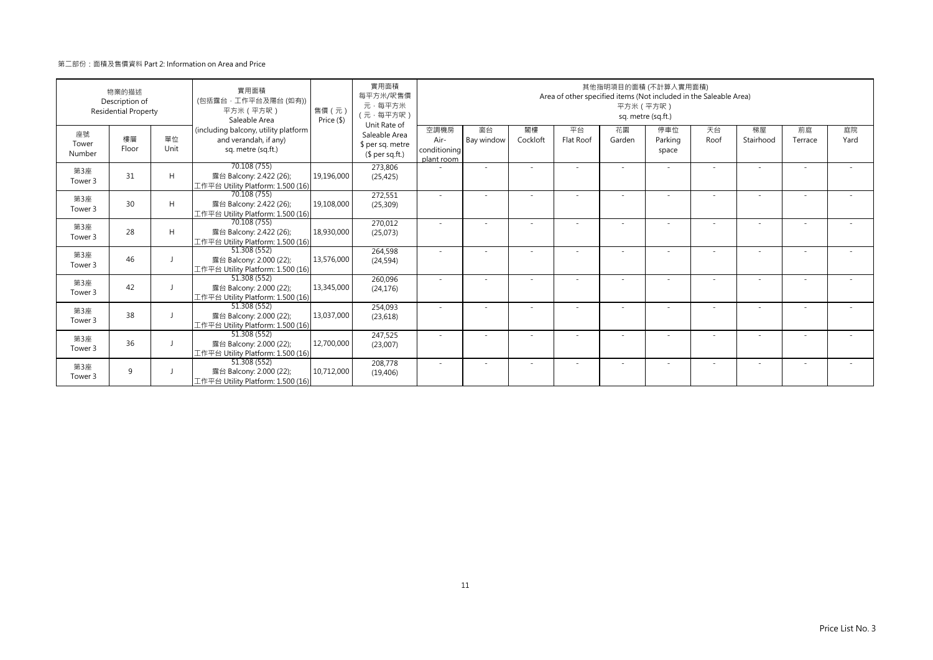| 物業的描述<br>Description of<br><b>Residential Property</b> |             |            | 實用面積<br>(包括露台·工作平台及陽台(如有))<br>平方米 (平方呎)<br>Saleable Area                            | 售價 (元)<br>Price (\$) | 實用面積<br>每平方米/呎售價<br>元·每平方米<br>(元·每平方呎)                               | 其他指明項目的面積 (不計算入實用面積)<br>Area of other specified items (Not included in the Saleable Area)<br>平方米 (平方呎)<br>sq. metre (sq.ft.) |                          |                |                 |              |                         |            |                          |               |            |
|--------------------------------------------------------|-------------|------------|-------------------------------------------------------------------------------------|----------------------|----------------------------------------------------------------------|------------------------------------------------------------------------------------------------------------------------------|--------------------------|----------------|-----------------|--------------|-------------------------|------------|--------------------------|---------------|------------|
| 座號<br>Tower<br>Number                                  | 樓層<br>Floor | 單位<br>Unit | (including balcony, utility platform<br>and verandah, if any)<br>sq. metre (sq.ft.) |                      | Unit Rate of<br>Saleable Area<br>\$ per sq. metre<br>$$$ per sq.ft.) | 空調機房<br>Air-<br>conditioning<br>plant room                                                                                   | 窗台<br>Bay window         | 閣樓<br>Cockloft | 平台<br>Flat Roof | 花園<br>Garden | 停車位<br>Parking<br>space | 天台<br>Roof | 梯屋<br>Stairhood          | 前庭<br>Terrace | 庭院<br>Yard |
| 第3座<br>Tower 3                                         | 31          | H          | 70.108 (755)<br>露台 Balcony: 2.422 (26);<br>工作平台 Utility Platform: 1.500 (16)        | 19,196,000           | 273,806<br>(25, 425)                                                 |                                                                                                                              | ٠                        |                |                 |              |                         | $\sim$     |                          |               |            |
| 第3座<br>Tower 3                                         | 30          | H          | 70.108 (755)<br>露台 Balcony: 2.422 (26);<br>工作平台 Utility Platform: 1.500 (16)        | 19,108,000           | 272,551<br>(25, 309)                                                 |                                                                                                                              |                          |                |                 |              |                         |            | ٠                        | ٠             |            |
| 第3座<br>Tower 3                                         | 28          | H          | 70.108 (755)<br>露台 Balcony: 2.422 (26);<br>工作平台 Utility Platform: 1.500 (16)        | 18,930,000           | 270.012<br>(25,073)                                                  |                                                                                                                              |                          |                |                 |              |                         |            |                          |               |            |
| 第3座<br>Tower 3                                         | 46          |            | 51.308 (552)<br>露台 Balcony: 2.000 (22);<br>工作平台 Utility Platform: 1.500 (16)        | 13,576,000           | 264,598<br>(24, 594)                                                 |                                                                                                                              |                          |                |                 |              |                         |            |                          |               |            |
| 第3座<br>Tower 3                                         | 42          |            | 51.308 (552)<br>露台 Balcony: 2.000 (22);<br>工作平台 Utility Platform: 1.500 (16)        | 13,345,000           | 260,096<br>(24, 176)                                                 | $\sim$                                                                                                                       | $\overline{\phantom{a}}$ |                |                 |              |                         |            | $\overline{\phantom{a}}$ |               |            |
| 第3座<br>Tower 3                                         | 38          |            | 51.308 (552)<br>露台 Balcony: 2.000 (22);<br>工作平台 Utility Platform: 1.500 (16)        | 13,037,000           | 254,093<br>(23, 618)                                                 |                                                                                                                              |                          |                |                 |              |                         |            |                          |               |            |
| 第3座<br>Tower 3                                         | 36          |            | 51.308 (552)<br>露台 Balcony: 2.000 (22);<br>工作平台 Utility Platform: 1.500 (16)        | 12,700,000           | 247,525<br>(23,007)                                                  | $\sim$                                                                                                                       |                          |                |                 | ٠            |                         |            | ٠                        | ٠             |            |
| 第3座<br>Tower 3                                         | 9           |            | 51.308 (552)<br>露台 Balcony: 2.000 (22);<br>工作平台 Utility Platform: 1.500 (16)        | 10,712,000           | 208,778<br>(19, 406)                                                 |                                                                                                                              |                          |                |                 |              |                         |            |                          |               |            |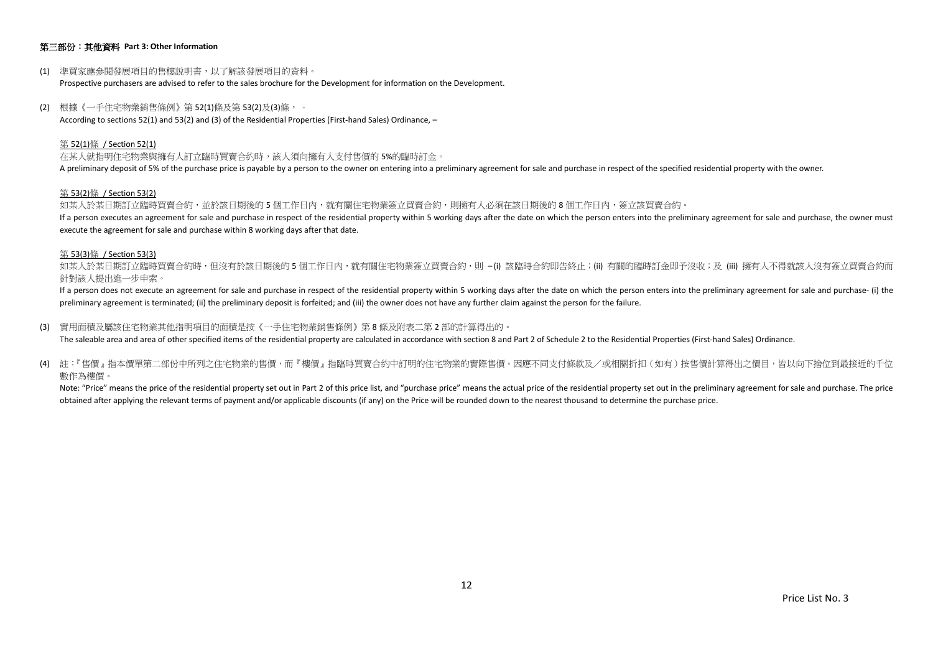# 第三部份:其他資料 **Part 3: Other Information**

- (1) 準買家應參閱發展項目的售樓說明書,以了解該發展項目的資料。 Prospective purchasers are advised to refer to the sales brochure for the Development for information on the Development.
- (2) 根據《一手住宅物業銷售條例》第 52(1)條及第 53(2)及(3)條, According to sections 52(1) and 53(2) and (3) of the Residential Properties (First-hand Sales) Ordinance, –

#### 第 52(1)條 / Section 52(1)

在某人就指明住宅物業與擁有人訂立臨時買賣合約時,該人須向擁有人支付售價的 5%的臨時訂金。 A preliminary deposit of 5% of the purchase price is payable by a person to the owner on entering into a preliminary agreement for sale and purchase in respect of the specified residential property with the owner.

#### 第 53(2)條 / Section 53(2)

如某人於某日期訂立臨時買賣合約,並於該日期後的5個工作日內,就有關住宅物業簽立買賣合約,則擁有人必須在該日期後的8個工作日内,簽立該買賣合約。 If a person executes an agreement for sale and purchase in respect of the residential property within 5 working days after the date on which the person enters into the preliminary agreement for sale and purchase, the owner execute the agreement for sale and purchase within 8 working days after that date.

#### 第 53(3)條 / Section 53(3)

如某人於某日期訂立臨時買賣合約時,但沒有於該日期後的 5 個工作日内,就有關住宅物業簽立買賣合約,則 –(i) 該臨時合約即告終止;(ii) 有關的臨時訂金即予沒收;及 (iii) 擁有人不得就該人沒有簽立買賣合約而 針對該人提出進一步申索。

If a person does not execute an agreement for sale and purchase in respect of the residential property within 5 working days after the date on which the person enters into the preliminary agreement for sale and purchase- ( preliminary agreement is terminated; (ii) the preliminary deposit is forfeited; and (iii) the owner does not have any further claim against the person for the failure.

(3) 實用面積及屬該住宅物業其他指明項目的面積是按《一手住宅物業銷售條例》第 8 條及附表二第 2 部的計算得出的。

The saleable area and area of other specified items of the residential property are calculated in accordance with section 8 and Part 2 of Schedule 2 to the Residential Properties (First-hand Sales) Ordinance.

(4) 註:『售價』指本價單第二部份中所列之住宅物業的售價,而『樓價』指臨時買賣合約中訂明的住宅物業的實際售價。因應不同支付條款及/或相關折扣(如有)按售價計算得出之價目,皆以向下捨位到最接近的千位 數作為樓價。

Note: "Price" means the price of the residential property set out in Part 2 of this price list, and "purchase price" means the actual price of the residential property set out in the preliminary agreement for sale and purc obtained after applying the relevant terms of payment and/or applicable discounts (if any) on the Price will be rounded down to the nearest thousand to determine the purchase price.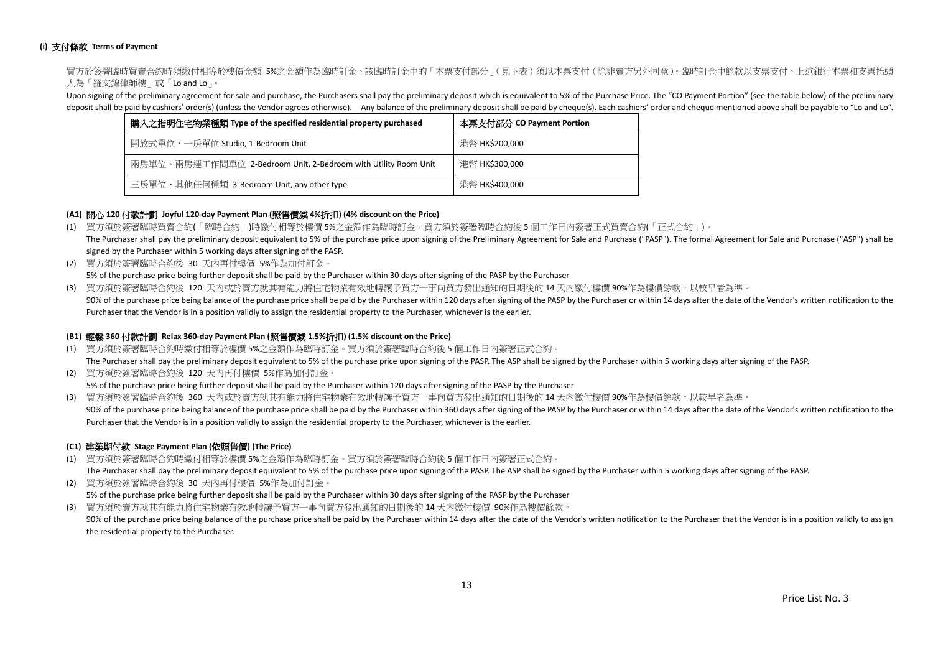# **(i)** 支付條款 **Terms of Payment**

買方於簽署臨時買賣合約時須繳付相等於樓價金額 5%之金額作為臨時訂金。該臨時訂金中的「本票支付部分」(見下表)須以本票支付(除非賣方另外同意)。臨時訂金中餘款以支票支付。上述銀行本票和支票抬頭 人為「羅文錦律師樓」或「Lo and Lo」。

Upon signing of the preliminary agreement for sale and purchase, the Purchasers shall pay the preliminary deposit which is equivalent to 5% of the Purchase Price. The "CO Payment Portion" (see the table below) of the preli deposit shall be paid by cashiers' order(s) (unless the Vendor agrees otherwise). Any balance of the preliminary deposit shall be paid by cheque(s). Each cashiers' order and cheque mentioned above shall be payable to "Lo a

| 購入之指明住宅物業種類 Type of the specified residential property purchased | 本票支付部分 CO Payment Portion |  |  |  |  |
|------------------------------------------------------------------|---------------------------|--|--|--|--|
| 開放式單位、一房單位 Studio, 1-Bedroom Unit                                | 港幣 HK\$200,000            |  |  |  |  |
| 兩房單位、兩房連工作間單位 2-Bedroom Unit, 2-Bedroom with Utility Room Unit   | 港幣 HK\$300,000            |  |  |  |  |
| 三房單位、其他任何種類 3-Bedroom Unit, any other type                       | 港幣 HK\$400,000            |  |  |  |  |

# **(A1)** 開心 **120** 付款計劃 **Joyful 120-day Payment Plan (**照售價減 **4%**折扣**) (4% discount on the Price)**

- (1) 買方須於簽署臨時買賣合約(「臨時合約」)時繳付相等於樓價 5%之金額作為臨時訂金。買方須於簽署臨時合約後 5 個工作日內簽署正式買賣合約(「正式合約」)。 The Purchaser shall pay the preliminary deposit equivalent to 5% of the purchase price upon signing of the Preliminary Agreement for Sale and Purchase ("PASP"). The formal Agreement for Sale and Purchase ("ASP") shall be signed by the Purchaser within 5 working days after signing of the PASP.
- (2) 買方須於簽署臨時合約後 30 天內再付樓價 5%作為加付訂金。 5% of the purchase price being further deposit shall be paid by the Purchaser within 30 days after signing of the PASP by the Purchaser
- (3) 買方須於簽署臨時合約後 120 天內或於賣方就其有能力將住宅物業有效地轉讓予買方一事向買方發出通知的日期後的 14 天內繳付樓價 90%作為樓價餘款,以較早者為準。
- 90% of the purchase price being balance of the purchase price shall be paid by the Purchaser within 120 days after signing of the PASP by the Purchaser or within 14 days after the date of the Vendor's written notification Purchaser that the Vendor is in a position validly to assign the residential property to the Purchaser, whichever is the earlier.

#### **(B1)** 輕鬆 **360** 付款計劃 **Relax 360-day Payment Plan (**照售價減 **1.5%**折扣**) (1.5% discount on the Price)**

- (1) 買方須於簽署臨時合約時繳付相等於樓價 5%之金額作為臨時訂金。買方須於簽署臨時合約後 5 個工作日內簽署正式合約。 The Purchaser shall pay the preliminary deposit equivalent to 5% of the purchase price upon signing of the PASP. The ASP shall be signed by the Purchaser within 5 working days after signing of the PASP.
- (2) 買方須於簽署臨時合約後 120 天內再付樓價 5%作為加付訂金。 5% of the purchase price being further deposit shall be paid by the Purchaser within 120 days after signing of the PASP by the Purchaser
- (3) 買方須於簽署臨時合約後 360 天內或於賣方就其有能力將住宅物業有效地轉讓予買方一事向買方發出通知的日期後的 14 天內繳付樓價 90%作為樓價餘款,以較早者為準。 90% of the purchase price being balance of the purchase price shall be paid by the Purchaser within 360 days after signing of the PASP by the Purchaser or within 14 days after the date of the Vendor's written notification Purchaser that the Vendor is in a position validly to assign the residential property to the Purchaser, whichever is the earlier.

# **(C1)** 建築期付款 **Stage Payment Plan (**依照售價**) (The Price)**

(1) 買方須於簽署臨時合約時繳付相等於樓價 5%之金額作為臨時訂金。買方須於簽署臨時合約後 5 個工作日內簽署正式合約。

The Purchaser shall pay the preliminary deposit equivalent to 5% of the purchase price upon signing of the PASP. The ASP shall be signed by the Purchaser within 5 working days after signing of the PASP.

(2) 買方須於簽署臨時合約後 30 天內再付樓價 5%作為加付訂金。 5% of the purchase price being further deposit shall be paid by the Purchaser within 30 days after signing of the PASP by the Purchaser (3) 買方須於賣方就其有能力將住宅物業有效地轉讓予買方一事向買方發出通知的日期後的 14 天內繳付樓價 90%作為樓價餘款。

90% of the purchase price being balance of the purchase price shall be paid by the Purchaser within 14 days after the date of the Vendor's written notification to the Purchaser that the Vendor is in a position validly to a the residential property to the Purchaser.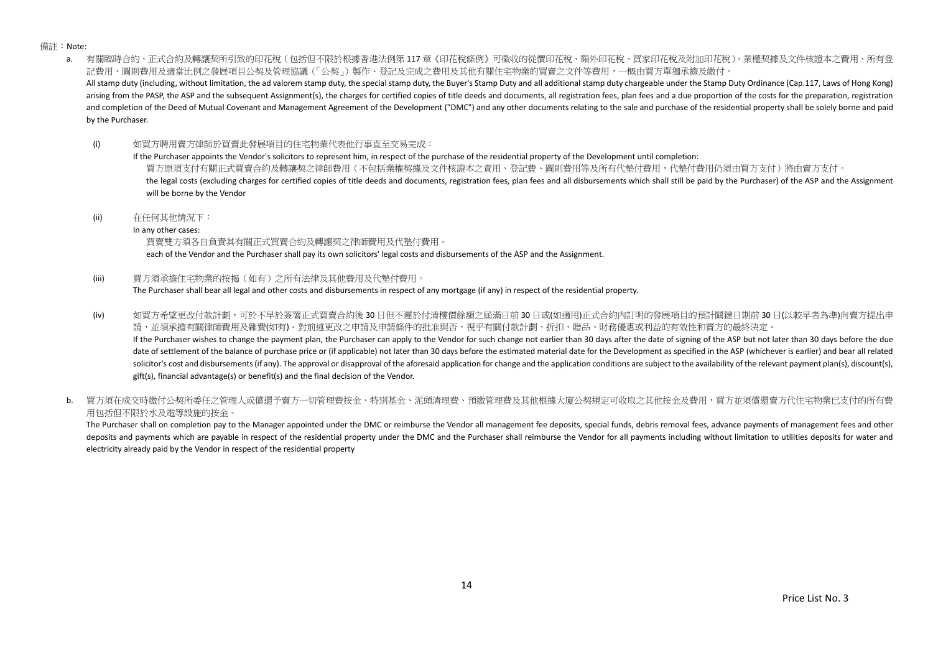備註:Note:

a. 有關臨時合約、正式合約及轉讓契所引致的印花稅(包括但不限於根據香港法例第 117 章《印花稅條例》可徵收的從價印花稅、額外印花稅、買家印花稅及附加印花稅)、業權契據及文件核證本之費用、所有登 記費用、圖則費用及適當比例之發展項目公契及管理協議(「公契」)製作、登記及完成之費用及其他有關住宅物業的買賣之文件等費用,一概由買方單獨承擔及繳付。 All stamp duty (including, without limitation, the ad valorem stamp duty, the special stamp duty, the Buyer's Stamp Duty and all additional stamp duty chargeable under the Stamp Duty Ordinance (Cap.117, Laws of Hong Kong) arising from the PASP, the ASP and the subsequent Assignment(s), the charges for certified copies of title deeds and documents, all registration fees, plan fees and a due proportion of the costs for the preparation, regist and completion of the Deed of Mutual Covenant and Management Agreement of the Development ("DMC") and any other documents relating to the sale and purchase of the residential property shall be solely borne and paid by the Purchaser.

(i) 如買方聘用賣方律師於買賣此發展項目的住宅物業代表他行事直至交易完成:

If the Purchaser appoints the Vendor's solicitors to represent him, in respect of the purchase of the residential property of the Development until completion: 買方原須支付有關正式買賣合約及轉讓契之律師費用(不包括業權契據及文件核證本之責用、登記費、圖則費用等及所有代墊付費用,代墊付費用仍須由買方支付)將由賣方支付。 the legal costs (excluding charges for certified copies of title deeds and documents, registration fees, plan fees and all disbursements which shall still be paid by the Purchaser) of the ASP and the Assignment will be borne by the Vendor

(ii) 在任何其他情況下:

In any other cases:

買賣雙方須各自負責其有關正式買賣合約及轉讓契之律師費用及代墊付費用。

each of the Vendor and the Purchaser shall pay its own solicitors' legal costs and disbursements of the ASP and the Assignment.

(iii) 買方須承擔住宅物業的按揭(如有)之所有法律及其他費用及代墊付費用。

The Purchaser shall bear all legal and other costs and disbursements in respect of any mortgage (if any) in respect of the residential property.

(iv) 如買方希望更改付款計劃,可於不早於簽署正式買賣合約後 30 日但不遲於付清樓價餘額之屆滿日前 30 日或(如適用)正式合約內訂明的發展項目的預計關鍵日期前 30 日(以較早者為準)向賣方提出申 請,並須承擔有關律師費用及雜費(如有)。對前述更改之申請及申請條件的批准與否,視乎有關付款計劃、折扣、贈品、財務優惠或利益的有效性和賣方的最終決定。 If the Purchaser wishes to change the payment plan, the Purchaser can apply to the Vendor for such change not earlier than 30 days after the date of signing of the ASP but not later than 30 days before the due

date of settlement of the balance of purchase price or (if applicable) not later than 30 days before the estimated material date for the Development as specified in the ASP (whichever is earlier) and bear all related solicitor's cost and disbursements (if any). The approval or disapproval of the aforesaid application for change and the application conditions are subject to the availability of the relevant payment plan(s), discount(s), gift(s), financial advantage(s) or benefit(s) and the final decision of the Vendor.

b. 冒方須在成交時繳付公契所委任之管理人或償還予賣方一切管理費按金、特別基金、泥頭清理費、預繳管理費及其他根據大廈公契規定可收取之其他按金及費用,買方並須償還賣方代住宅物業已支付的所有費 用包括但不限於水及電等設施的按金。

The Purchaser shall on completion pay to the Manager appointed under the DMC or reimburse the Vendor all management fee deposits, special funds, debris removal fees, advance payments of management fees and other deposits and payments which are payable in respect of the residential property under the DMC and the Purchaser shall reimburse the Vendor for all payments including without limitation to utilities deposits for water and electricity already paid by the Vendor in respect of the residential property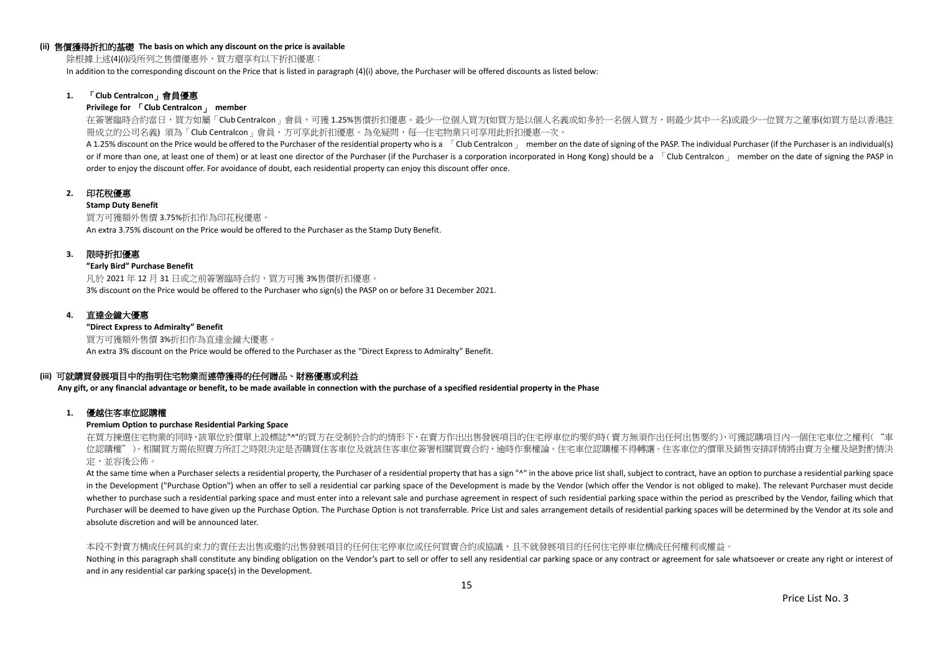#### **(ii)** 售價獲得折扣的基礎 **The basis on which any discount on the price is available**

除根據上述(4)(i)段所列之售價優惠外,買方還享有以下折扣優惠:

In addition to the corresponding discount on the Price that is listed in paragraph (4)(i) above, the Purchaser will be offered discounts as listed below:

# **1.** 「**Club Centralcon**」會員優惠

#### **Privilege for** 「**Club Centralcon**」 **member**

在簽署臨時合約當日,買方如屬「Club Centralcon」會員,可獲 1.25%售價折扣優惠。最少一位個人買方(如買方是以個人名義或如多於一名個人買方,則最少其中一名)或最少一位買方之董事(如買方是以香港註 冊成立的公司名義) 須為「Club Centralcon」會員,方可享此折扣優惠。為免疑問,每一住宅物業只可享用此折扣優惠一次。

A 1.25% discount on the Price would be offered to the Purchaser of the residential property who is a [Club Centralcon ] member on the date of signing of the PASP. The individual Purchaser (if the Purchaser is an individual or if more than one, at least one of them) or at least one director of the Purchaser (if the Purchaser is a corporation incorporated in Hong Kong) should be a  $\overline{C}$ Club Centralcon  $\overline{C}$  member on the date of signing order to enjoy the discount offer. For avoidance of doubt, each residential property can enjoy this discount offer once.

# **2.** 印花稅優惠

#### **Stamp Duty Benefit**

買方可獲額外售價 3.75%折扣作為印花稅優惠。 An extra 3.75% discount on the Price would be offered to the Purchaser as the Stamp Duty Benefit.

#### **3.** 限時折扣優惠

#### **"Early Bird" Purchase Benefit**

凡於 2021 年 12 月 31 日或之前簽署臨時合約,買方可獲 3%售價折扣優惠。 3% discount on the Price would be offered to the Purchaser who sign(s) the PASP on or before 31 December 2021.

#### **4.** 直達金鐘大優惠

**"Direct Express to Admiralty" Benefit** 買方可獲額外售價 3%折扣作為直達金鐘大優惠。 An extra 3% discount on the Price would be offered to the Purchaser as the "Direct Express to Admiralty" Benefit.

### **(iii)** 可就購買發展項目中的指明住宅物業而連帶獲得的任何贈品、財務優惠或利益

**Any gift, or any financial advantage or benefit, to be made available in connection with the purchase of a specified residential property in the Phase**

#### **1.** 優越住客車位認購權

#### **Premium Option to purchase Residential Parking Space**

在買方揀選住宅物業的同時,該單位於價單上設標誌"^"的買方在受制於合約的情形下,在賣方作出出售發展項目的住宅停車位的要約時(賣方無須作出任何出售要約),可獲認購項目內一個住宅車位之權利("車 位認購權")。相關買方需依照賣方所訂之時限決定是否購買住客車位及就該住客車位簽署相關買賣合約,逾時作棄權論。住宅車位認購權不得轉讓。住客車位的價單及銷售安排詳情將由賣方全權及絕對酌情決 定,並容後公佈。

At the same time when a Purchaser selects a residential property, the Purchaser of a residential property that has a sign "^" in the above price list shall, subject to contract, have an option to purchase a residential par in the Development ("Purchase Option") when an offer to sell a residential car parking space of the Development is made by the Vendor (which offer the Vendor is not obliged to make). The relevant Purchaser must decide whether to purchase such a residential parking space and must enter into a relevant sale and purchase agreement in respect of such residential parking space within the period as prescribed by the Vendor, failing which that Purchaser will be deemed to have given up the Purchase Option. The Purchase Option is not transferrable. Price List and sales arrangement details of residential parking spaces will be determined by the Vendor at its sole a absolute discretion and will be announced later.

#### 本段不對賣方構成任何具約束力的責任去出售或邀約出售發展項目的任何住宅停車位或任何買賣合約或協議,且不就發展項目的任何住宅停車位構成任何權利或權益。

Nothing in this paragraph shall constitute any binding obligation on the Vendor's part to sell or offer to sell any residential car parking space or any contract or agreement for sale whatsoever or create any right or inte and in any residential car parking space(s) in the Development.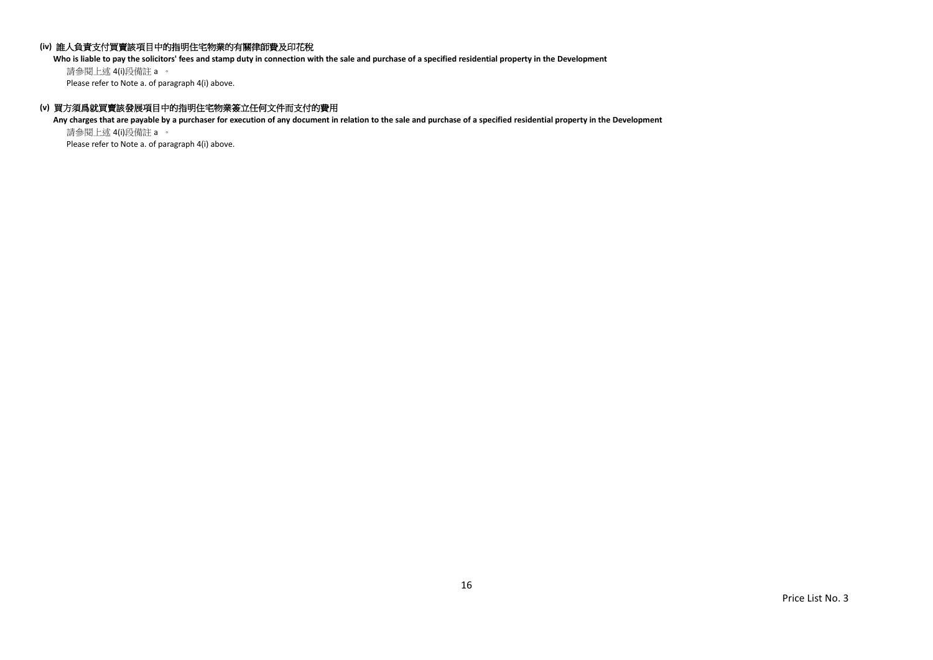# **(iv)** 誰人負責支付買賣該項目中的指明住宅物業的有關律師費及印花稅

**Who is liable to pay the solicitors' fees and stamp duty in connection with the sale and purchase of a specified residential property in the Development**

請參閱上述 4(i)段備註 a 。 Please refer to Note a. of paragraph 4(i) above.

# **(v)** 買方須爲就買賣該發展項目中的指明住宅物業簽立任何文件而支付的費用

**Any charges that are payable by a purchaser for execution of any document in relation to the sale and purchase of a specified residential property in the Development** 請參閱上述 4(i)段備註 a 。

Please refer to Note a. of paragraph 4(i) above.